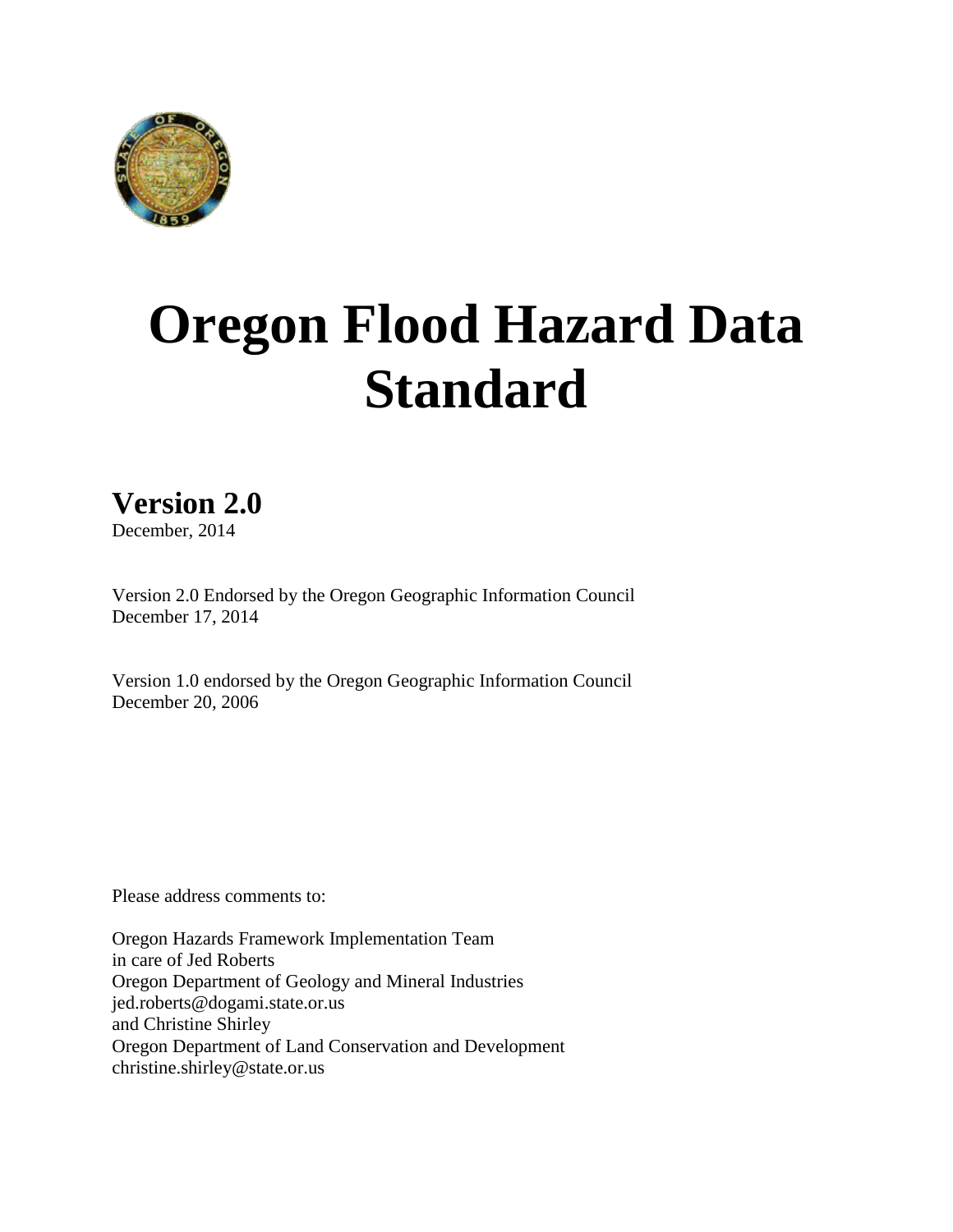

# **Oregon Flood Hazard Data Standard**

# **Version 2.0**

December, 2014

Version 2.0 Endorsed by the Oregon Geographic Information Council December 17, 2014

Version 1.0 endorsed by the Oregon Geographic Information Council December 20, 2006

Please address comments to:

Oregon Hazards Framework Implementation Team in care of Jed Roberts Oregon Department of Geology and Mineral Industries jed.roberts@dogami.state.or.us and Christine Shirley Oregon Department of Land Conservation and Development christine.shirley@state.or.us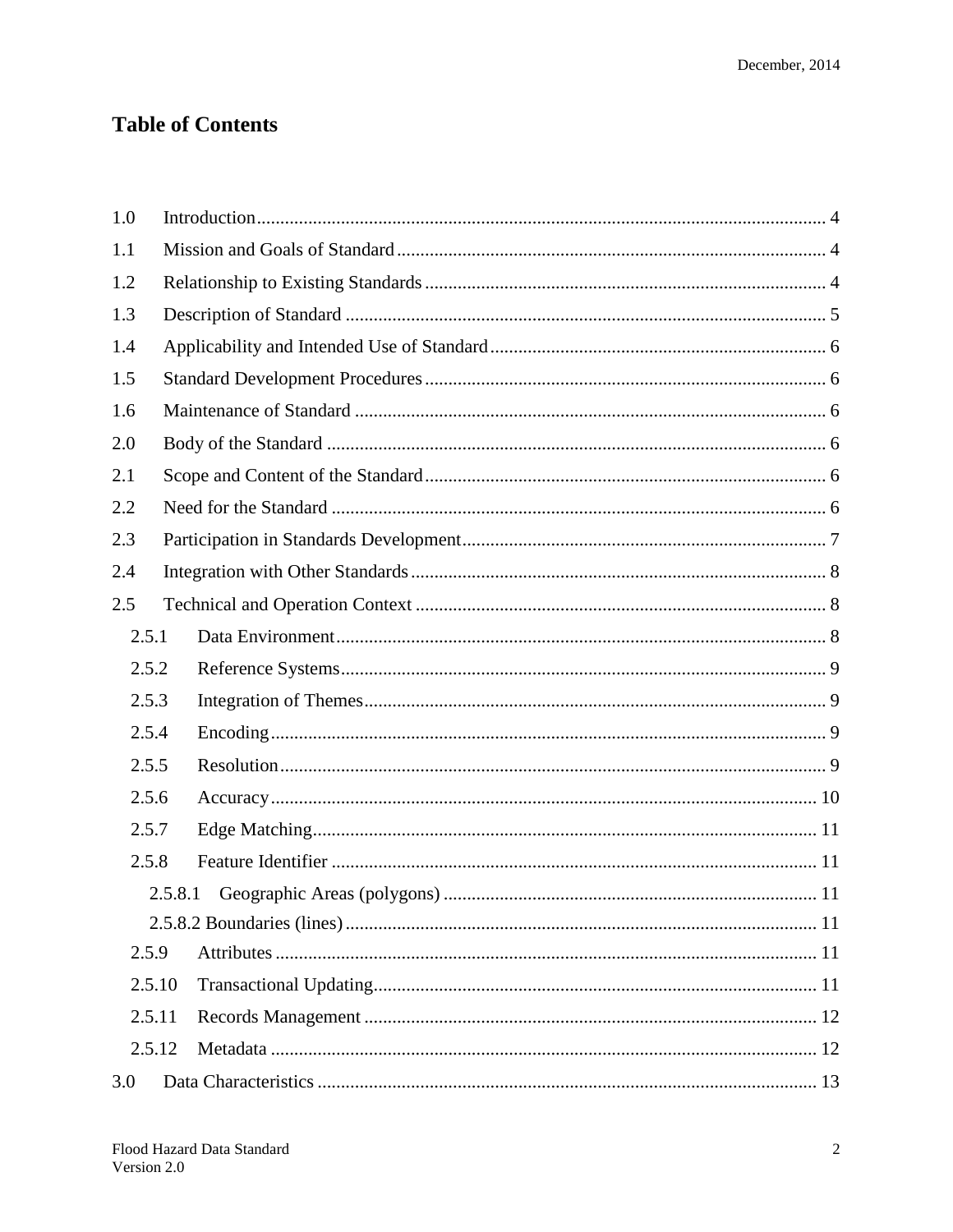## **Table of Contents**

| 1.0    |         |  |  |  |  |  |  |
|--------|---------|--|--|--|--|--|--|
| 1.1    |         |  |  |  |  |  |  |
| 1.2    |         |  |  |  |  |  |  |
| 1.3    |         |  |  |  |  |  |  |
| 1.4    |         |  |  |  |  |  |  |
| 1.5    |         |  |  |  |  |  |  |
| 1.6    |         |  |  |  |  |  |  |
| 2.0    |         |  |  |  |  |  |  |
| 2.1    |         |  |  |  |  |  |  |
| 2.2    |         |  |  |  |  |  |  |
| 2.3    |         |  |  |  |  |  |  |
| 2.4    |         |  |  |  |  |  |  |
| 2.5    |         |  |  |  |  |  |  |
| 2.5.1  |         |  |  |  |  |  |  |
| 2.5.2  |         |  |  |  |  |  |  |
| 2.5.3  |         |  |  |  |  |  |  |
| 2.5.4  |         |  |  |  |  |  |  |
| 2.5.5  |         |  |  |  |  |  |  |
| 2.5.6  |         |  |  |  |  |  |  |
| 2.5.7  |         |  |  |  |  |  |  |
| 2.5.8  |         |  |  |  |  |  |  |
|        | 2.5.8.1 |  |  |  |  |  |  |
|        |         |  |  |  |  |  |  |
| 2.5.9  |         |  |  |  |  |  |  |
| 2.5.10 |         |  |  |  |  |  |  |
| 2.5.11 |         |  |  |  |  |  |  |
| 2.5.12 |         |  |  |  |  |  |  |
| 3.0    |         |  |  |  |  |  |  |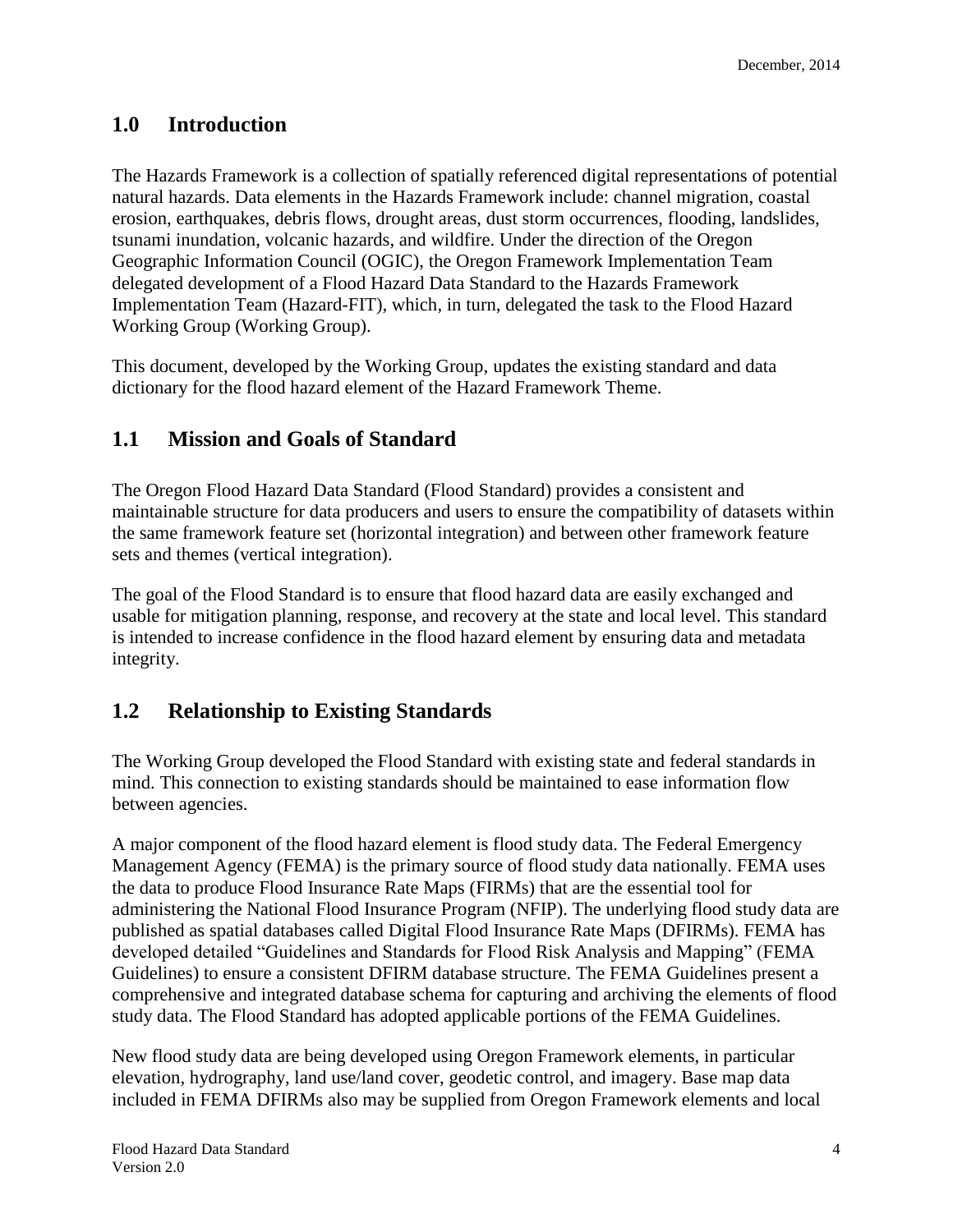## <span id="page-3-0"></span>**1.0 Introduction**

<span id="page-3-1"></span>The Hazards Framework is a collection of spatially referenced digital representations of potential natural hazards. Data elements in the Hazards Framework include: channel migration, coastal erosion, earthquakes, debris flows, drought areas, dust storm occurrences, flooding, landslides, tsunami inundation, volcanic hazards, and wildfire. Under the direction of the Oregon Geographic Information Council (OGIC), the Oregon Framework Implementation Team delegated development of a Flood Hazard Data Standard to the Hazards Framework Implementation Team (Hazard-FIT), which, in turn, delegated the task to the Flood Hazard Working Group (Working Group).

This document, developed by the Working Group, updates the existing standard and data dictionary for the flood hazard element of the Hazard Framework Theme.

## **1.1 Mission and Goals of Standard**

The Oregon Flood Hazard Data Standard (Flood Standard) provides a consistent and maintainable structure for data producers and users to ensure the compatibility of datasets within the same framework feature set (horizontal integration) and between other framework feature sets and themes (vertical integration).

The goal of the Flood Standard is to ensure that flood hazard data are easily exchanged and usable for mitigation planning, response, and recovery at the state and local level. This standard is intended to increase confidence in the flood hazard element by ensuring data and metadata integrity.

### <span id="page-3-2"></span>**1.2 Relationship to Existing Standards**

The Working Group developed the Flood Standard with existing state and federal standards in mind. This connection to existing standards should be maintained to ease information flow between agencies.

A major component of the flood hazard element is flood study data. The Federal Emergency Management Agency (FEMA) is the primary source of flood study data nationally. FEMA uses the data to produce Flood Insurance Rate Maps (FIRMs) that are the essential tool for administering the National Flood Insurance Program (NFIP). The underlying flood study data are published as spatial databases called Digital Flood Insurance Rate Maps (DFIRMs). FEMA has developed detailed "Guidelines and Standards for Flood Risk Analysis and Mapping" (FEMA Guidelines) to ensure a consistent DFIRM database structure. The FEMA Guidelines present a comprehensive and integrated database schema for capturing and archiving the elements of flood study data. The Flood Standard has adopted applicable portions of the FEMA Guidelines.

New flood study data are being developed using Oregon Framework elements, in particular elevation, hydrography, land use/land cover, geodetic control, and imagery. Base map data included in FEMA DFIRMs also may be supplied from Oregon Framework elements and local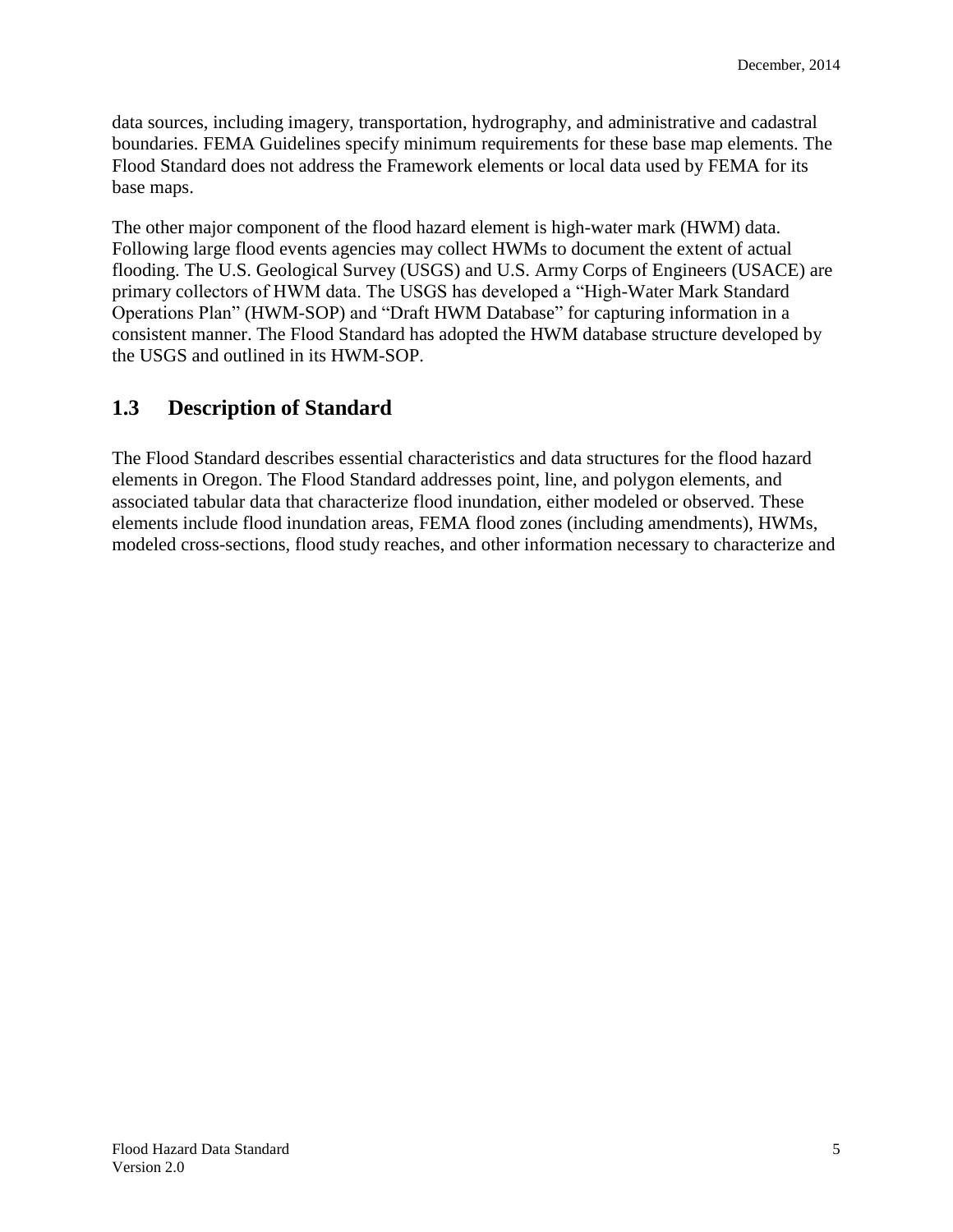data sources, including imagery, transportation, hydrography, and administrative and cadastral boundaries. FEMA Guidelines specify minimum requirements for these base map elements. The Flood Standard does not address the Framework elements or local data used by FEMA for its base maps.

The other major component of the flood hazard element is high-water mark (HWM) data. Following large flood events agencies may collect HWMs to document the extent of actual flooding. The U.S. Geological Survey (USGS) and U.S. Army Corps of Engineers (USACE) are primary collectors of HWM data. The USGS has developed a "High-Water Mark Standard Operations Plan" (HWM-SOP) and "Draft HWM Database" for capturing information in a consistent manner. The Flood Standard has adopted the HWM database structure developed by the USGS and outlined in its HWM-SOP.

## <span id="page-4-0"></span>**1.3 Description of Standard**

The Flood Standard describes essential characteristics and data structures for the flood hazard elements in Oregon. The Flood Standard addresses point, line, and polygon elements, and associated tabular data that characterize flood inundation, either modeled or observed. These elements include flood inundation areas, FEMA flood zones (including amendments), HWMs, modeled cross-sections, flood study reaches, and other information necessary to characterize and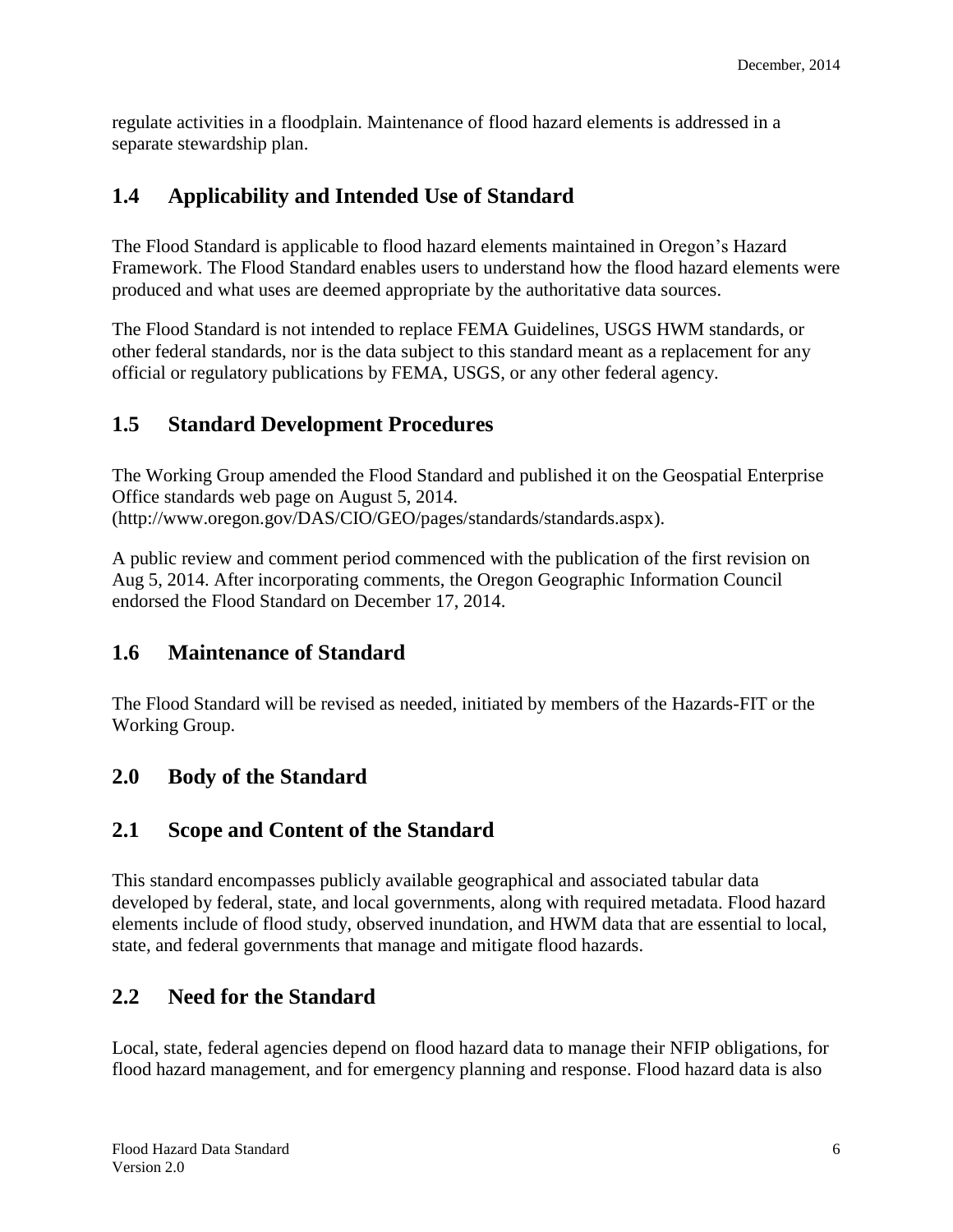regulate activities in a floodplain. Maintenance of flood hazard elements is addressed in a separate stewardship plan.

## <span id="page-5-0"></span>**1.4 Applicability and Intended Use of Standard**

The Flood Standard is applicable to flood hazard elements maintained in Oregon's Hazard Framework. The Flood Standard enables users to understand how the flood hazard elements were produced and what uses are deemed appropriate by the authoritative data sources.

The Flood Standard is not intended to replace FEMA Guidelines, USGS HWM standards, or other federal standards, nor is the data subject to this standard meant as a replacement for any official or regulatory publications by FEMA, USGS, or any other federal agency.

## <span id="page-5-1"></span>**1.5 Standard Development Procedures**

The Working Group amended the Flood Standard and published it on the Geospatial Enterprise Office standards web page on August 5, 2014. (http://www.oregon.gov/DAS/CIO/GEO/pages/standards/standards.aspx).

A public review and comment period commenced with the publication of the first revision on Aug 5, 2014. After incorporating comments, the Oregon Geographic Information Council endorsed the Flood Standard on December 17, 2014.

## <span id="page-5-2"></span>**1.6 Maintenance of Standard**

The Flood Standard will be revised as needed, initiated by members of the Hazards-FIT or the Working Group.

## <span id="page-5-3"></span>**2.0 Body of the Standard**

## <span id="page-5-4"></span>**2.1 Scope and Content of the Standard**

This standard encompasses publicly available geographical and associated tabular data developed by federal, state, and local governments, along with required metadata. Flood hazard elements include of flood study, observed inundation, and HWM data that are essential to local, state, and federal governments that manage and mitigate flood hazards.

## <span id="page-5-5"></span>**2.2 Need for the Standard**

Local, state, federal agencies depend on flood hazard data to manage their NFIP obligations, for flood hazard management, and for emergency planning and response. Flood hazard data is also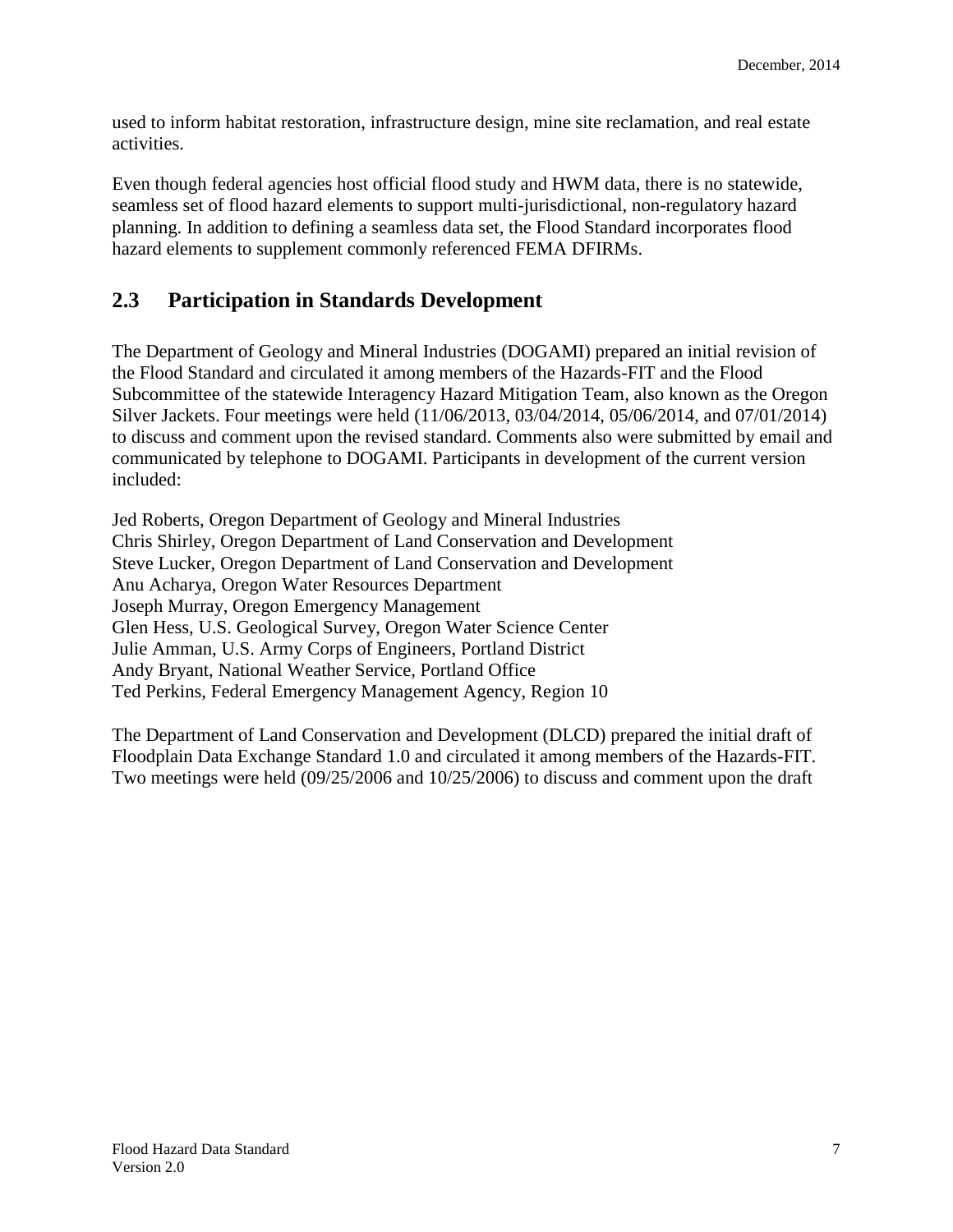used to inform habitat restoration, infrastructure design, mine site reclamation, and real estate activities.

Even though federal agencies host official flood study and HWM data, there is no statewide, seamless set of flood hazard elements to support multi-jurisdictional, non-regulatory hazard planning. In addition to defining a seamless data set, the Flood Standard incorporates flood hazard elements to supplement commonly referenced FEMA DFIRMs.

## <span id="page-6-0"></span>**2.3 Participation in Standards Development**

The Department of Geology and Mineral Industries (DOGAMI) prepared an initial revision of the Flood Standard and circulated it among members of the Hazards-FIT and the Flood Subcommittee of the statewide Interagency Hazard Mitigation Team, also known as the Oregon Silver Jackets. Four meetings were held (11/06/2013, 03/04/2014, 05/06/2014, and 07/01/2014) to discuss and comment upon the revised standard. Comments also were submitted by email and communicated by telephone to DOGAMI. Participants in development of the current version included:

Jed Roberts, Oregon Department of Geology and Mineral Industries Chris Shirley, Oregon Department of Land Conservation and Development Steve Lucker, Oregon Department of Land Conservation and Development Anu Acharya, Oregon Water Resources Department Joseph Murray, Oregon Emergency Management Glen Hess, U.S. Geological Survey, Oregon Water Science Center Julie Amman, U.S. Army Corps of Engineers, Portland District Andy Bryant, National Weather Service, Portland Office Ted Perkins, Federal Emergency Management Agency, Region 10

The Department of Land Conservation and Development (DLCD) prepared the initial draft of Floodplain Data Exchange Standard 1.0 and circulated it among members of the Hazards-FIT. Two meetings were held (09/25/2006 and 10/25/2006) to discuss and comment upon the draft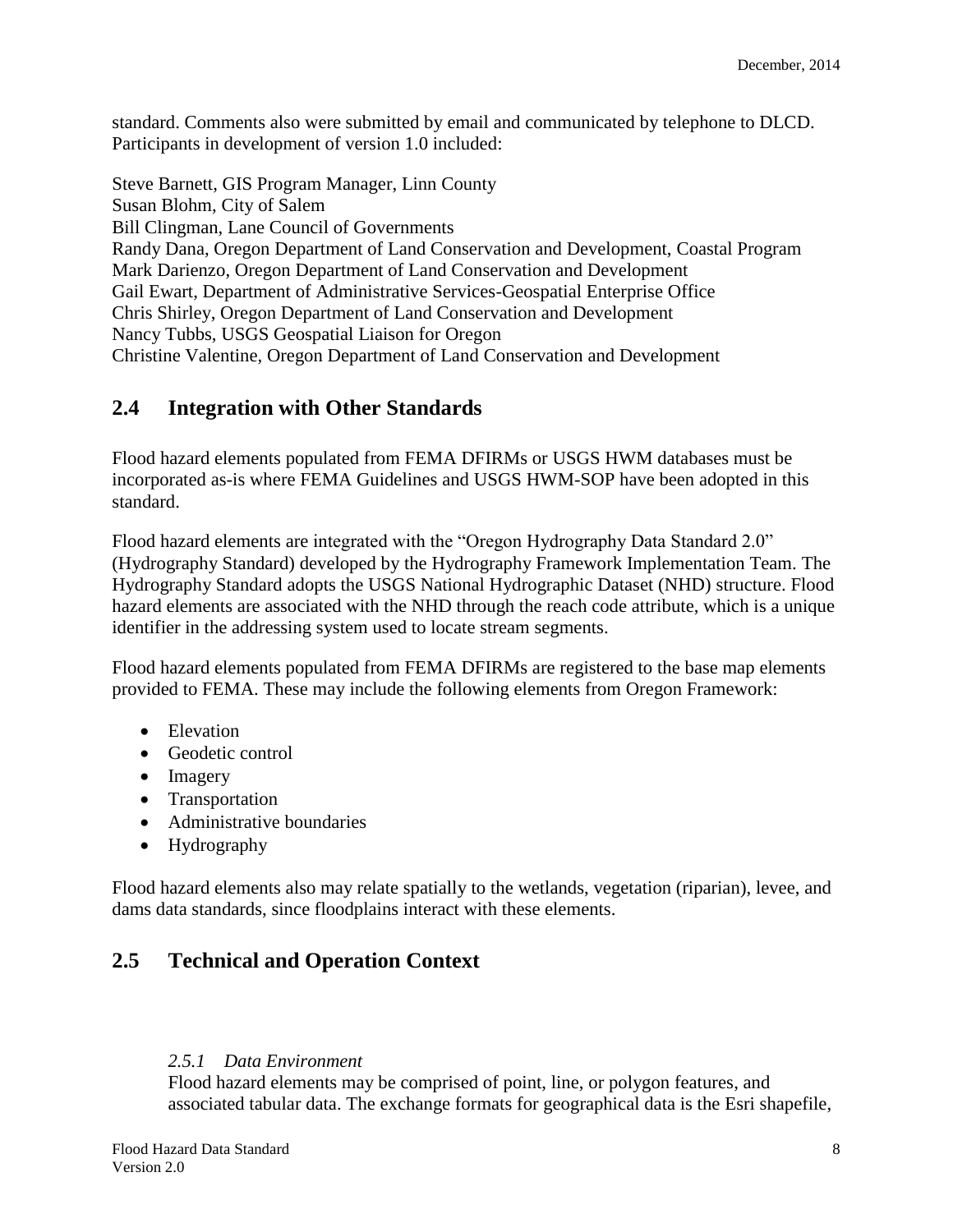standard. Comments also were submitted by email and communicated by telephone to DLCD. Participants in development of version 1.0 included:

Steve Barnett, GIS Program Manager, Linn County Susan Blohm, City of Salem Bill Clingman, Lane Council of Governments Randy Dana, Oregon Department of Land Conservation and Development, Coastal Program Mark Darienzo, Oregon Department of Land Conservation and Development Gail Ewart, Department of Administrative Services-Geospatial Enterprise Office Chris Shirley, Oregon Department of Land Conservation and Development Nancy Tubbs, USGS Geospatial Liaison for Oregon Christine Valentine, Oregon Department of Land Conservation and Development

## <span id="page-7-0"></span>**2.4 Integration with Other Standards**

Flood hazard elements populated from FEMA DFIRMs or USGS HWM databases must be incorporated as-is where FEMA Guidelines and USGS HWM-SOP have been adopted in this standard.

Flood hazard elements are integrated with the "Oregon Hydrography Data Standard 2.0" (Hydrography Standard) developed by the Hydrography Framework Implementation Team. The Hydrography Standard adopts the USGS National Hydrographic Dataset (NHD) structure. Flood hazard elements are associated with the NHD through the reach code attribute, which is a unique identifier in the addressing system used to locate stream segments.

Flood hazard elements populated from FEMA DFIRMs are registered to the base map elements provided to FEMA. These may include the following elements from Oregon Framework:

- Elevation
- Geodetic control
- Imagery
- Transportation
- Administrative boundaries
- Hydrography

Flood hazard elements also may relate spatially to the wetlands, vegetation (riparian), levee, and dams data standards, since floodplains interact with these elements.

## <span id="page-7-1"></span>**2.5 Technical and Operation Context**

#### <span id="page-7-2"></span>*2.5.1 Data Environment*

Flood hazard elements may be comprised of point, line, or polygon features, and associated tabular data. The exchange formats for geographical data is the Esri shapefile,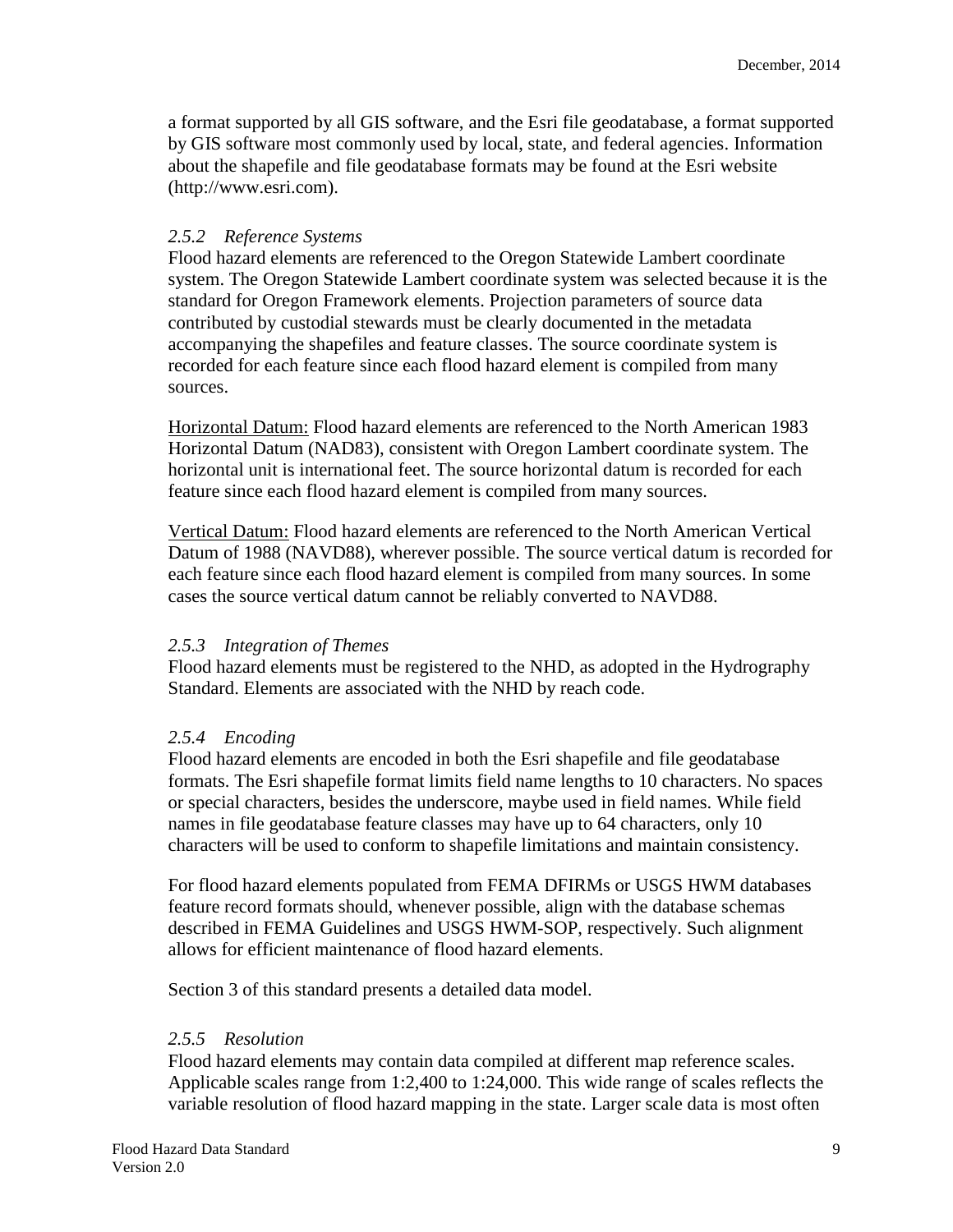a format supported by all GIS software, and the Esri file geodatabase, a format supported by GIS software most commonly used by local, state, and federal agencies. Information about the shapefile and file geodatabase formats may be found at the Esri website (http://www.esri.com).

#### <span id="page-8-0"></span>*2.5.2 Reference Systems*

Flood hazard elements are referenced to the Oregon Statewide Lambert coordinate system. The Oregon Statewide Lambert coordinate system was selected because it is the standard for Oregon Framework elements. Projection parameters of source data contributed by custodial stewards must be clearly documented in the metadata accompanying the shapefiles and feature classes. The source coordinate system is recorded for each feature since each flood hazard element is compiled from many sources.

Horizontal Datum: Flood hazard elements are referenced to the North American 1983 Horizontal Datum (NAD83), consistent with Oregon Lambert coordinate system. The horizontal unit is international feet. The source horizontal datum is recorded for each feature since each flood hazard element is compiled from many sources.

Vertical Datum: Flood hazard elements are referenced to the North American Vertical Datum of 1988 (NAVD88), wherever possible. The source vertical datum is recorded for each feature since each flood hazard element is compiled from many sources. In some cases the source vertical datum cannot be reliably converted to NAVD88.

#### <span id="page-8-1"></span>*2.5.3 Integration of Themes*

Flood hazard elements must be registered to the NHD, as adopted in the Hydrography Standard. Elements are associated with the NHD by reach code.

#### <span id="page-8-2"></span>*2.5.4 Encoding*

Flood hazard elements are encoded in both the Esri shapefile and file geodatabase formats. The Esri shapefile format limits field name lengths to 10 characters. No spaces or special characters, besides the underscore, maybe used in field names. While field names in file geodatabase feature classes may have up to 64 characters, only 10 characters will be used to conform to shapefile limitations and maintain consistency.

For flood hazard elements populated from FEMA DFIRMs or USGS HWM databases feature record formats should, whenever possible, align with the database schemas described in FEMA Guidelines and USGS HWM-SOP, respectively. Such alignment allows for efficient maintenance of flood hazard elements.

Section 3 of this standard presents a detailed data model.

#### <span id="page-8-3"></span>*2.5.5 Resolution*

Flood hazard elements may contain data compiled at different map reference scales. Applicable scales range from 1:2,400 to 1:24,000. This wide range of scales reflects the variable resolution of flood hazard mapping in the state. Larger scale data is most often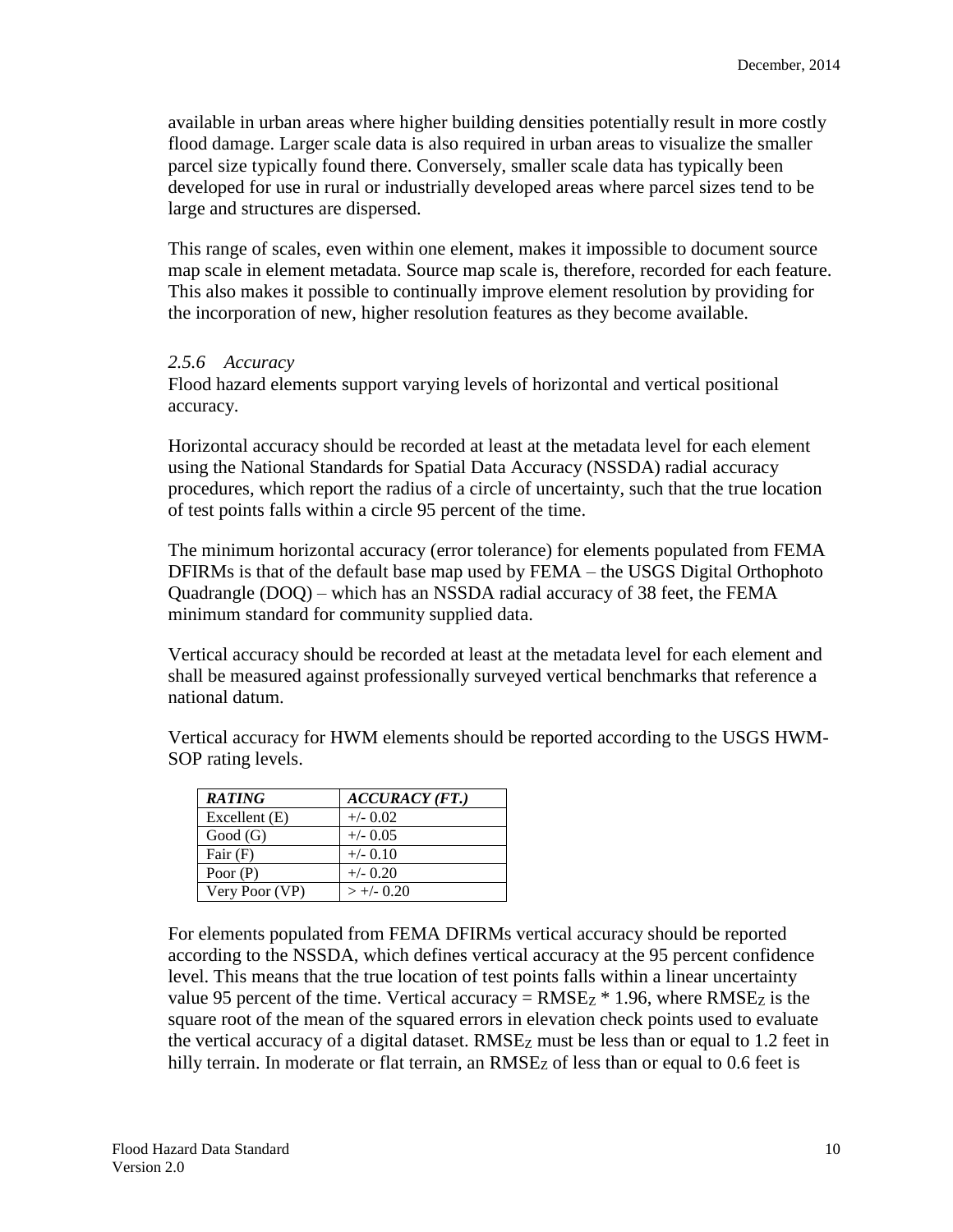available in urban areas where higher building densities potentially result in more costly flood damage. Larger scale data is also required in urban areas to visualize the smaller parcel size typically found there. Conversely, smaller scale data has typically been developed for use in rural or industrially developed areas where parcel sizes tend to be large and structures are dispersed.

This range of scales, even within one element, makes it impossible to document source map scale in element metadata. Source map scale is, therefore, recorded for each feature. This also makes it possible to continually improve element resolution by providing for the incorporation of new, higher resolution features as they become available.

#### <span id="page-9-0"></span>*2.5.6 Accuracy*

Flood hazard elements support varying levels of horizontal and vertical positional accuracy.

Horizontal accuracy should be recorded at least at the metadata level for each element using the National Standards for Spatial Data Accuracy (NSSDA) radial accuracy procedures, which report the radius of a circle of uncertainty, such that the true location of test points falls within a circle 95 percent of the time.

The minimum horizontal accuracy (error tolerance) for elements populated from FEMA DFIRMs is that of the default base map used by FEMA – the USGS Digital Orthophoto Quadrangle (DOQ) – which has an NSSDA radial accuracy of 38 feet, the FEMA minimum standard for community supplied data.

Vertical accuracy should be recorded at least at the metadata level for each element and shall be measured against professionally surveyed vertical benchmarks that reference a national datum.

| <b>RATING</b>  | $ACCURACY$ (FT.) |
|----------------|------------------|
| Excellent (E)  | $+/- 0.02$       |
| Good(G)        | $+/- 0.05$       |
| Fair $(F)$     | $+/- 0.10$       |
| Poor $(P)$     | $+/- 0.20$       |
| Very Poor (VP) | $> +/- 0.20$     |

Vertical accuracy for HWM elements should be reported according to the USGS HWM-SOP rating levels.

For elements populated from FEMA DFIRMs vertical accuracy should be reported according to the NSSDA, which defines vertical accuracy at the 95 percent confidence level. This means that the true location of test points falls within a linear uncertainty value 95 percent of the time. Vertical accuracy =  $RMSE_Z * 1.96$ , where  $RMSE_Z$  is the square root of the mean of the squared errors in elevation check points used to evaluate the vertical accuracy of a digital dataset.  $RMSE<sub>Z</sub>$  must be less than or equal to 1.2 feet in hilly terrain. In moderate or flat terrain, an  $RMSE<sub>Z</sub>$  of less than or equal to 0.6 feet is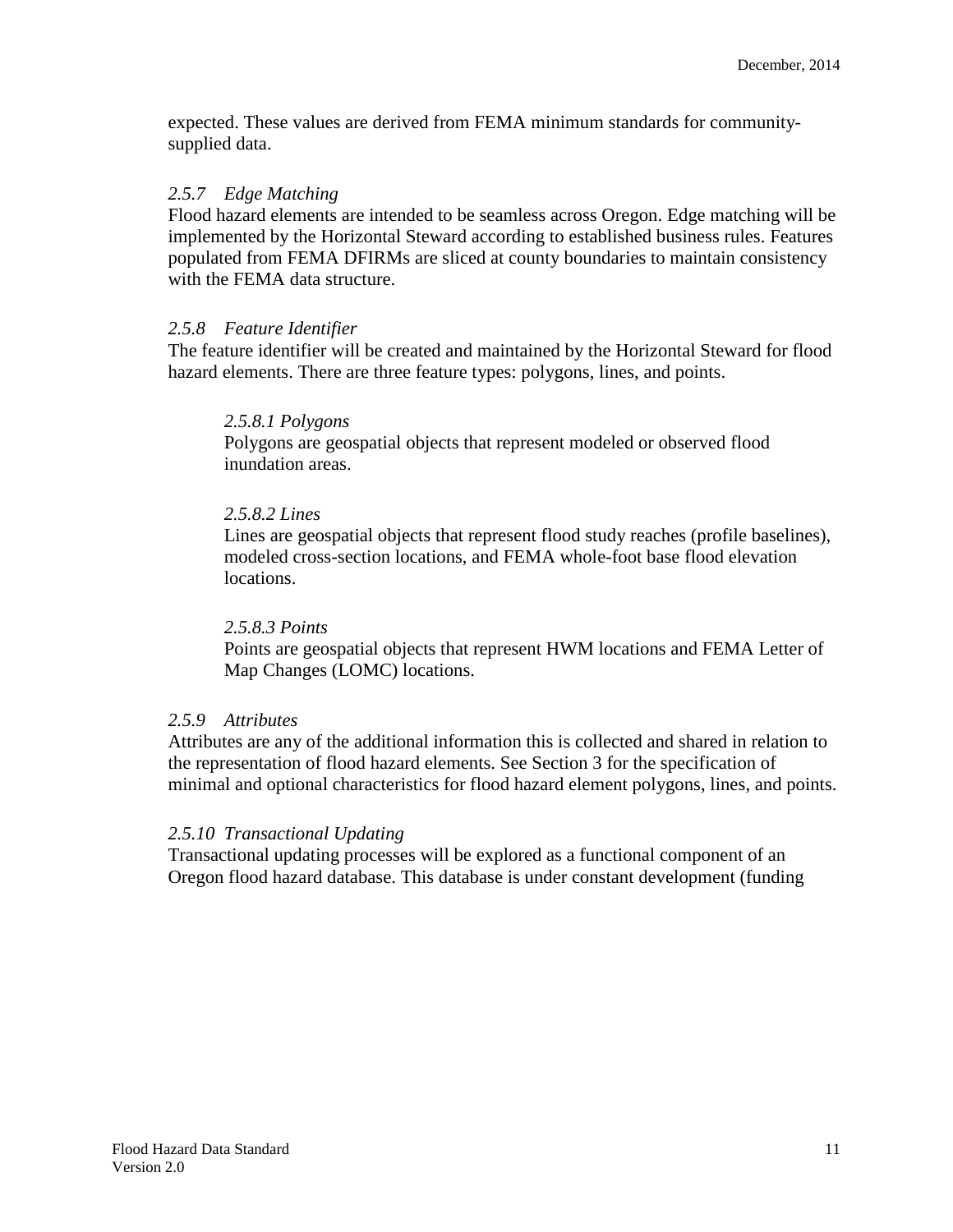expected. These values are derived from FEMA minimum standards for communitysupplied data.

#### <span id="page-10-0"></span>*2.5.7 Edge Matching*

Flood hazard elements are intended to be seamless across Oregon. Edge matching will be implemented by the Horizontal Steward according to established business rules. Features populated from FEMA DFIRMs are sliced at county boundaries to maintain consistency with the FEMA data structure.

#### <span id="page-10-1"></span>*2.5.8 Feature Identifier*

<span id="page-10-2"></span>The feature identifier will be created and maintained by the Horizontal Steward for flood hazard elements. There are three feature types: polygons, lines, and points.

#### *2.5.8.1 Polygons*

Polygons are geospatial objects that represent modeled or observed flood inundation areas.

#### <span id="page-10-3"></span>*2.5.8.2 Lines*

Lines are geospatial objects that represent flood study reaches (profile baselines), modeled cross-section locations, and FEMA whole-foot base flood elevation locations.

#### *2.5.8.3 Points*

Points are geospatial objects that represent HWM locations and FEMA Letter of Map Changes (LOMC) locations.

#### <span id="page-10-4"></span>*2.5.9 Attributes*

Attributes are any of the additional information this is collected and shared in relation to the representation of flood hazard elements. See Section 3 for the specification of minimal and optional characteristics for flood hazard element polygons, lines, and points.

#### <span id="page-10-5"></span>*2.5.10 Transactional Updating*

Transactional updating processes will be explored as a functional component of an Oregon flood hazard database. This database is under constant development (funding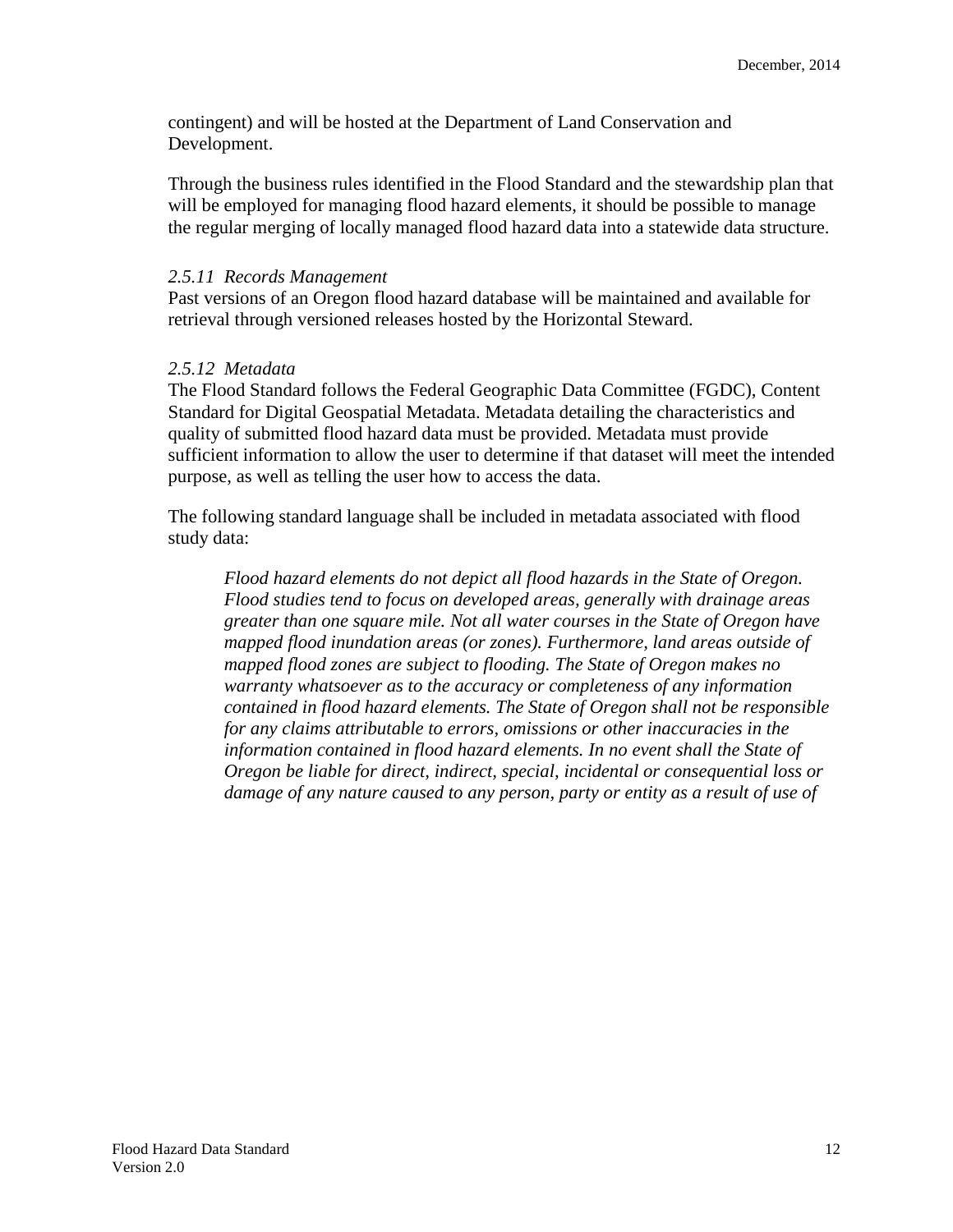contingent) and will be hosted at the Department of Land Conservation and Development.

Through the business rules identified in the Flood Standard and the stewardship plan that will be employed for managing flood hazard elements, it should be possible to manage the regular merging of locally managed flood hazard data into a statewide data structure.

#### <span id="page-11-0"></span>*2.5.11 Records Management*

Past versions of an Oregon flood hazard database will be maintained and available for retrieval through versioned releases hosted by the Horizontal Steward.

#### <span id="page-11-1"></span>*2.5.12 Metadata*

The Flood Standard follows the Federal Geographic Data Committee (FGDC), Content Standard for Digital Geospatial Metadata. Metadata detailing the characteristics and quality of submitted flood hazard data must be provided. Metadata must provide sufficient information to allow the user to determine if that dataset will meet the intended purpose, as well as telling the user how to access the data.

The following standard language shall be included in metadata associated with flood study data:

*Flood hazard elements do not depict all flood hazards in the State of Oregon. Flood studies tend to focus on developed areas, generally with drainage areas greater than one square mile. Not all water courses in the State of Oregon have mapped flood inundation areas (or zones). Furthermore, land areas outside of mapped flood zones are subject to flooding. The State of Oregon makes no warranty whatsoever as to the accuracy or completeness of any information contained in flood hazard elements. The State of Oregon shall not be responsible for any claims attributable to errors, omissions or other inaccuracies in the information contained in flood hazard elements. In no event shall the State of Oregon be liable for direct, indirect, special, incidental or consequential loss or damage of any nature caused to any person, party or entity as a result of use of*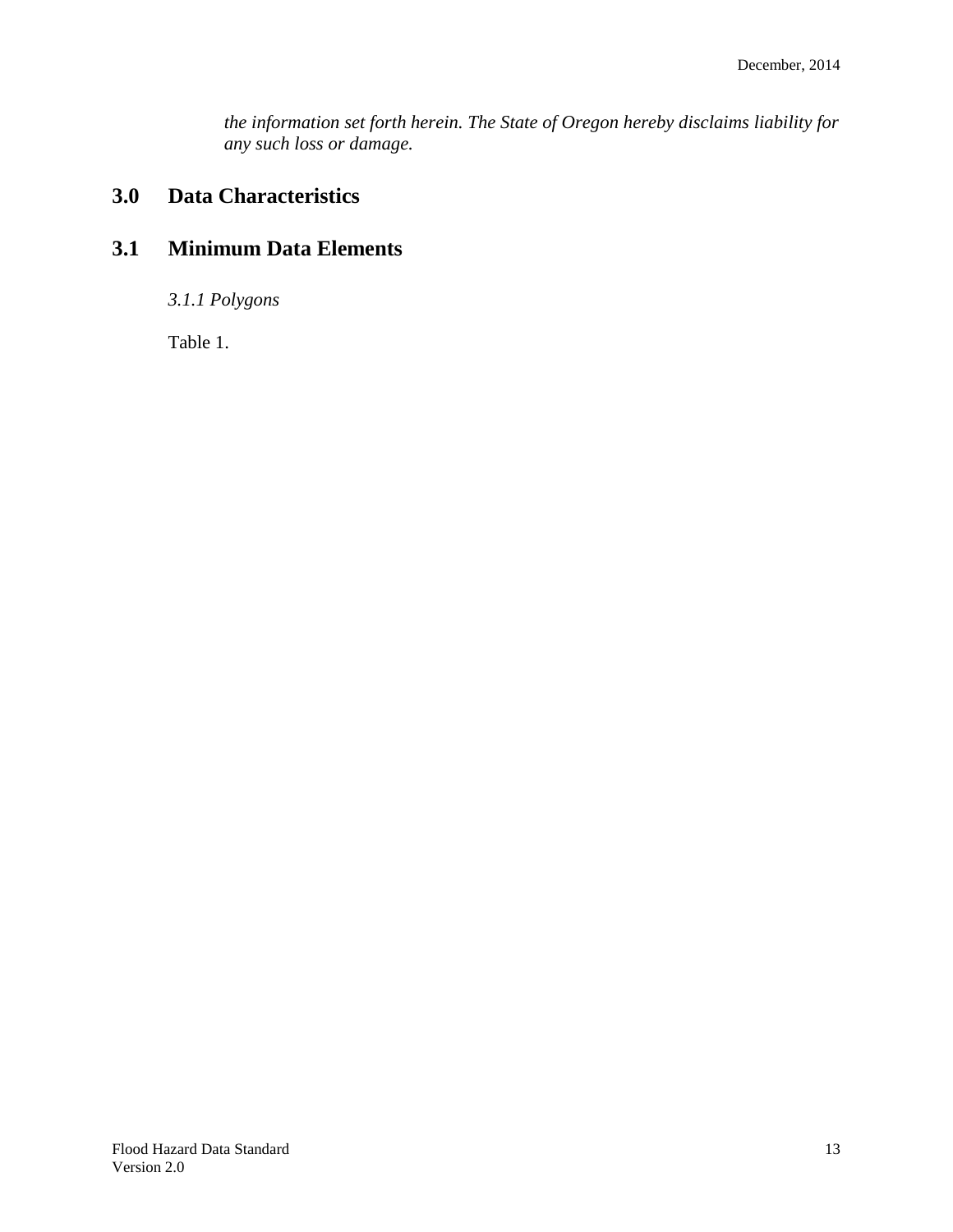*the information set forth herein. The State of Oregon hereby disclaims liability for any such loss or damage.*

## <span id="page-12-0"></span>**3.0 Data Characteristics**

## <span id="page-12-2"></span><span id="page-12-1"></span>**3.1 Minimum Data Elements**

*3.1.1 Polygons*

Table 1.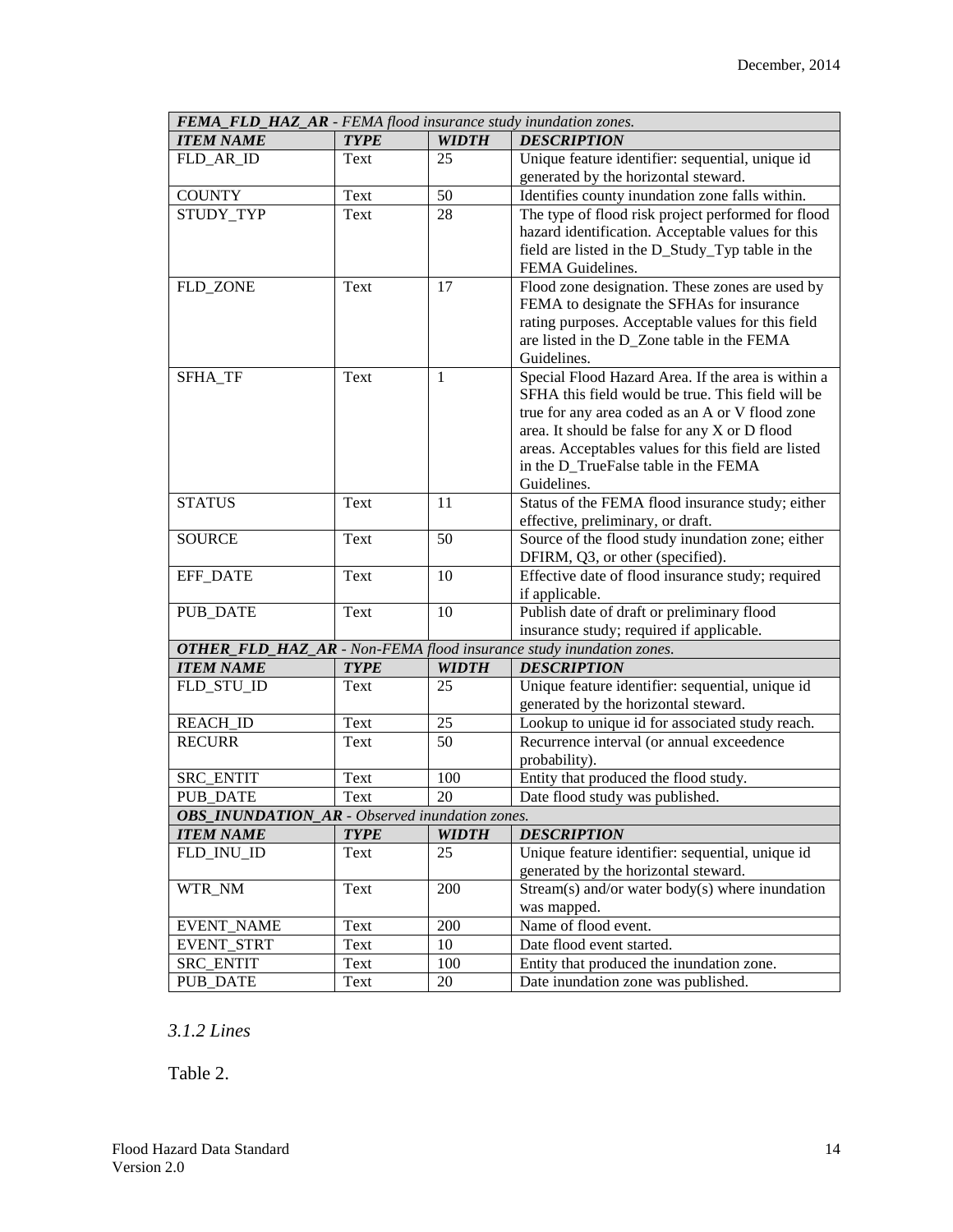| FEMA_FLD_HAZ_AR - FEMA flood insurance study inundation zones. |             |              |                                                                                                      |  |
|----------------------------------------------------------------|-------------|--------------|------------------------------------------------------------------------------------------------------|--|
| <b>ITEM NAME</b>                                               | <b>TYPE</b> | <b>WIDTH</b> | <b>DESCRIPTION</b>                                                                                   |  |
| FLD_AR_ID                                                      | Text        | 25           | Unique feature identifier: sequential, unique id                                                     |  |
|                                                                |             |              | generated by the horizontal steward.                                                                 |  |
| <b>COUNTY</b>                                                  | Text        | 50           | Identifies county inundation zone falls within.                                                      |  |
| STUDY_TYP                                                      | Text        | 28           | The type of flood risk project performed for flood                                                   |  |
|                                                                |             |              | hazard identification. Acceptable values for this                                                    |  |
|                                                                |             |              | field are listed in the D_Study_Typ table in the                                                     |  |
|                                                                |             |              | FEMA Guidelines.                                                                                     |  |
| FLD_ZONE                                                       | Text        | 17           | Flood zone designation. These zones are used by                                                      |  |
|                                                                |             |              | FEMA to designate the SFHAs for insurance                                                            |  |
|                                                                |             |              | rating purposes. Acceptable values for this field                                                    |  |
|                                                                |             |              | are listed in the D_Zone table in the FEMA                                                           |  |
|                                                                |             |              | Guidelines.                                                                                          |  |
| SFHA_TF                                                        | Text        | 1            | Special Flood Hazard Area. If the area is within a                                                   |  |
|                                                                |             |              | SFHA this field would be true. This field will be                                                    |  |
|                                                                |             |              | true for any area coded as an A or V flood zone                                                      |  |
|                                                                |             |              | area. It should be false for any X or D flood<br>areas. Acceptables values for this field are listed |  |
|                                                                |             |              | in the D_TrueFalse table in the FEMA                                                                 |  |
|                                                                |             |              | Guidelines.                                                                                          |  |
| <b>STATUS</b>                                                  | Text        | 11           | Status of the FEMA flood insurance study; either                                                     |  |
|                                                                |             |              | effective, preliminary, or draft.                                                                    |  |
| <b>SOURCE</b>                                                  | Text        | 50           | Source of the flood study inundation zone; either                                                    |  |
|                                                                |             |              | DFIRM, Q3, or other (specified).                                                                     |  |
| EFF_DATE                                                       | Text        | 10           | Effective date of flood insurance study; required                                                    |  |
|                                                                |             |              | if applicable.                                                                                       |  |
| <b>PUB_DATE</b>                                                | Text        | 10           | Publish date of draft or preliminary flood                                                           |  |
|                                                                |             |              | insurance study; required if applicable.                                                             |  |
|                                                                |             |              | <b>OTHER_FLD_HAZ_AR</b> - Non-FEMA flood insurance study inundation zones.                           |  |
| <b>ITEM NAME</b>                                               | <b>TYPE</b> | <b>WIDTH</b> | <b>DESCRIPTION</b>                                                                                   |  |
| FLD_STU_ID                                                     | Text        | 25           | Unique feature identifier: sequential, unique id                                                     |  |
|                                                                |             |              | generated by the horizontal steward.                                                                 |  |
| <b>REACH_ID</b>                                                | Text        | 25           | Lookup to unique id for associated study reach.                                                      |  |
| <b>RECURR</b>                                                  | Text        | 50           | Recurrence interval (or annual exceedence                                                            |  |
|                                                                |             |              | probability).                                                                                        |  |
| <b>SRC ENTIT</b>                                               | Text        | 100          | Entity that produced the flood study.                                                                |  |
| <b>PUB DATE</b>                                                | Text        | 20           | Date flood study was published.                                                                      |  |
| <b>OBS_INUNDATION_AR</b> - Observed inundation zones.          |             |              |                                                                                                      |  |
| <b>ITEM NAME</b>                                               | <b>TYPE</b> | <b>WIDTH</b> | <b>DESCRIPTION</b>                                                                                   |  |
| FLD INU ID                                                     | Text        | 25           | Unique feature identifier: sequential, unique id                                                     |  |
|                                                                |             |              | generated by the horizontal steward.                                                                 |  |
| WTR_NM                                                         | Text        | 200          | $Stream(s)$ and/or water body(s) where inundation                                                    |  |
|                                                                |             |              | was mapped.                                                                                          |  |
| <b>EVENT_NAME</b>                                              | Text        | 200          | Name of flood event.                                                                                 |  |
| EVENT_STRT                                                     | Text        | 10           | Date flood event started.                                                                            |  |
| SRC_ENTIT                                                      | Text        | 100          | Entity that produced the inundation zone.                                                            |  |
| <b>PUB_DATE</b>                                                | Text        | 20           | Date inundation zone was published.                                                                  |  |

#### <span id="page-13-0"></span>*3.1.2 Lines*

Table 2.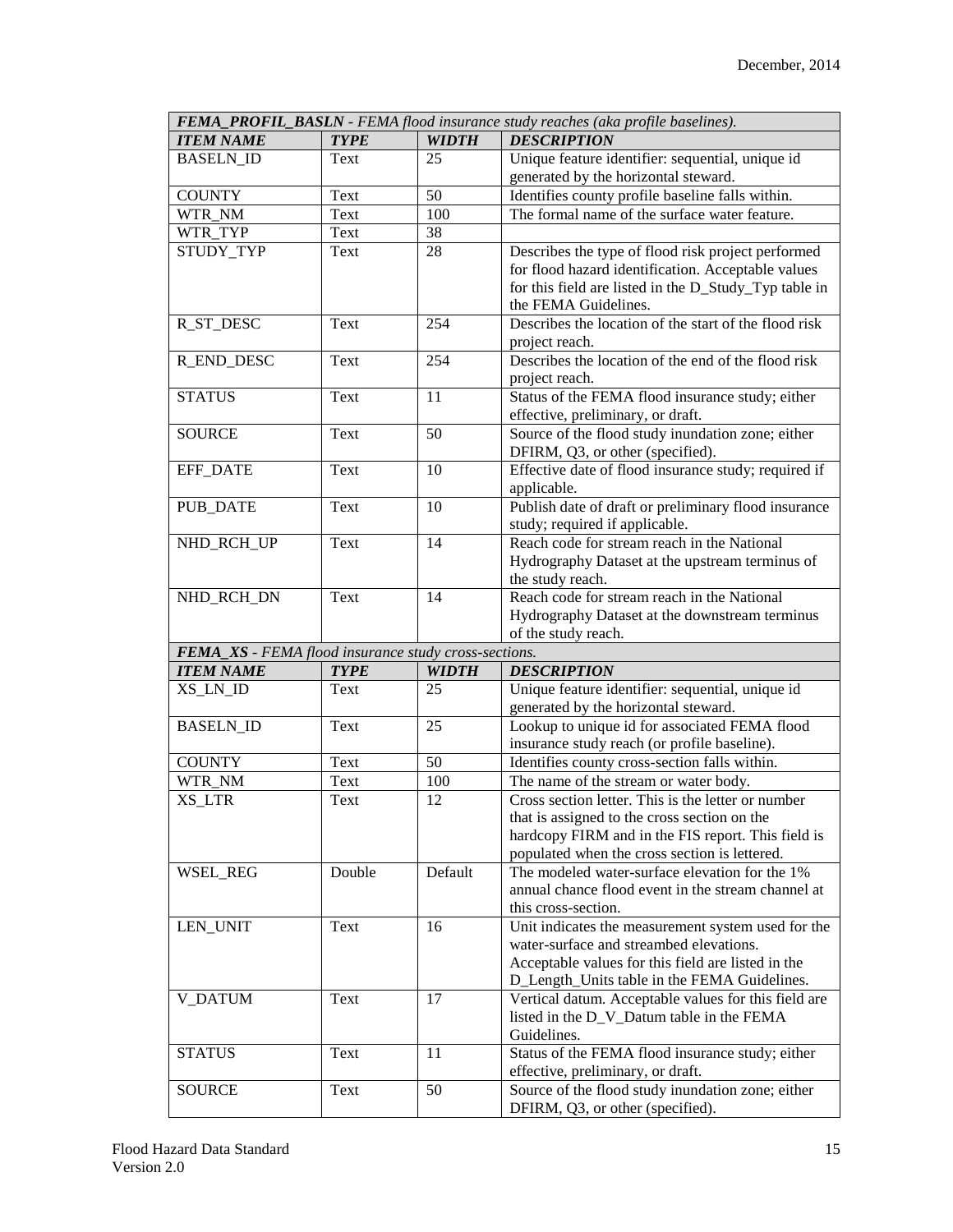| FEMA_PROFIL_BASLN - FEMA flood insurance study reaches (aka profile baselines). |             |              |                                                                                                   |  |  |
|---------------------------------------------------------------------------------|-------------|--------------|---------------------------------------------------------------------------------------------------|--|--|
| <b>ITEM NAME</b>                                                                | <b>TYPE</b> | <b>WIDTH</b> | <b>DESCRIPTION</b>                                                                                |  |  |
| <b>BASELN ID</b>                                                                | Text        | 25           | Unique feature identifier: sequential, unique id<br>generated by the horizontal steward.          |  |  |
| <b>COUNTY</b>                                                                   | Text        | 50           | Identifies county profile baseline falls within.                                                  |  |  |
| WTR_NM                                                                          | Text        | 100          | The formal name of the surface water feature.                                                     |  |  |
| WTR_TYP                                                                         | Text        | 38           |                                                                                                   |  |  |
| STUDY_TYP                                                                       | Text        | 28           | Describes the type of flood risk project performed                                                |  |  |
|                                                                                 |             |              | for flood hazard identification. Acceptable values                                                |  |  |
|                                                                                 |             |              | for this field are listed in the D_Study_Typ table in<br>the FEMA Guidelines.                     |  |  |
| R_ST_DESC                                                                       | Text        | 254          | Describes the location of the start of the flood risk<br>project reach.                           |  |  |
| <b>R_END_DESC</b>                                                               | Text        | 254          | Describes the location of the end of the flood risk<br>project reach.                             |  |  |
| <b>STATUS</b>                                                                   | Text        | 11           | Status of the FEMA flood insurance study; either                                                  |  |  |
| <b>SOURCE</b>                                                                   | Text        | 50           | effective, preliminary, or draft.<br>Source of the flood study inundation zone; either            |  |  |
|                                                                                 |             |              | DFIRM, Q3, or other (specified).                                                                  |  |  |
| EFF_DATE                                                                        | Text        | 10           | Effective date of flood insurance study; required if<br>applicable.                               |  |  |
| PUB_DATE                                                                        | Text        | 10           | Publish date of draft or preliminary flood insurance<br>study; required if applicable.            |  |  |
|                                                                                 | Text        | 14           | Reach code for stream reach in the National                                                       |  |  |
| NHD_RCH_UP                                                                      |             |              | Hydrography Dataset at the upstream terminus of                                                   |  |  |
|                                                                                 |             |              | the study reach.                                                                                  |  |  |
| NHD_RCH_DN                                                                      | Text        | 14           | Reach code for stream reach in the National                                                       |  |  |
|                                                                                 |             |              | Hydrography Dataset at the downstream terminus                                                    |  |  |
|                                                                                 |             |              | of the study reach.                                                                               |  |  |
| FEMA_XS - FEMA flood insurance study cross-sections.                            |             |              |                                                                                                   |  |  |
| <b>ITEM NAME</b>                                                                | <b>TYPE</b> | <b>WIDTH</b> | <b>DESCRIPTION</b>                                                                                |  |  |
| XS_LN_ID                                                                        | Text        | 25           | Unique feature identifier: sequential, unique id                                                  |  |  |
|                                                                                 |             |              | generated by the horizontal steward.                                                              |  |  |
| <b>BASELN ID</b>                                                                | Text        | 25           | Lookup to unique id for associated FEMA flood                                                     |  |  |
|                                                                                 |             |              | insurance study reach (or profile baseline).                                                      |  |  |
| <b>COUNTY</b>                                                                   | Text        | 50           | Identifies county cross-section falls within.                                                     |  |  |
| WTR_NM                                                                          | Text        | 100          | The name of the stream or water body.                                                             |  |  |
| XS LTR                                                                          | Text        | 12           | Cross section letter. This is the letter or number                                                |  |  |
|                                                                                 |             |              | that is assigned to the cross section on the                                                      |  |  |
|                                                                                 |             |              | hardcopy FIRM and in the FIS report. This field is                                                |  |  |
|                                                                                 |             |              | populated when the cross section is lettered.                                                     |  |  |
| WSEL_REG                                                                        | Double      | Default      | The modeled water-surface elevation for the 1%                                                    |  |  |
|                                                                                 |             |              | annual chance flood event in the stream channel at                                                |  |  |
|                                                                                 |             |              | this cross-section.                                                                               |  |  |
| LEN_UNIT                                                                        | Text        | 16           | Unit indicates the measurement system used for the                                                |  |  |
|                                                                                 |             |              | water-surface and streambed elevations.                                                           |  |  |
|                                                                                 |             |              | Acceptable values for this field are listed in the                                                |  |  |
|                                                                                 |             |              | D_Length_Units table in the FEMA Guidelines.                                                      |  |  |
| V_DATUM                                                                         | Text        | 17           | Vertical datum. Acceptable values for this field are<br>listed in the D_V_Datum table in the FEMA |  |  |
|                                                                                 |             |              | Guidelines.                                                                                       |  |  |
| <b>STATUS</b>                                                                   | Text        | 11           | Status of the FEMA flood insurance study; either                                                  |  |  |
|                                                                                 |             |              | effective, preliminary, or draft.                                                                 |  |  |
| <b>SOURCE</b>                                                                   | Text        | 50           | Source of the flood study inundation zone; either                                                 |  |  |
|                                                                                 |             |              | DFIRM, Q3, or other (specified).                                                                  |  |  |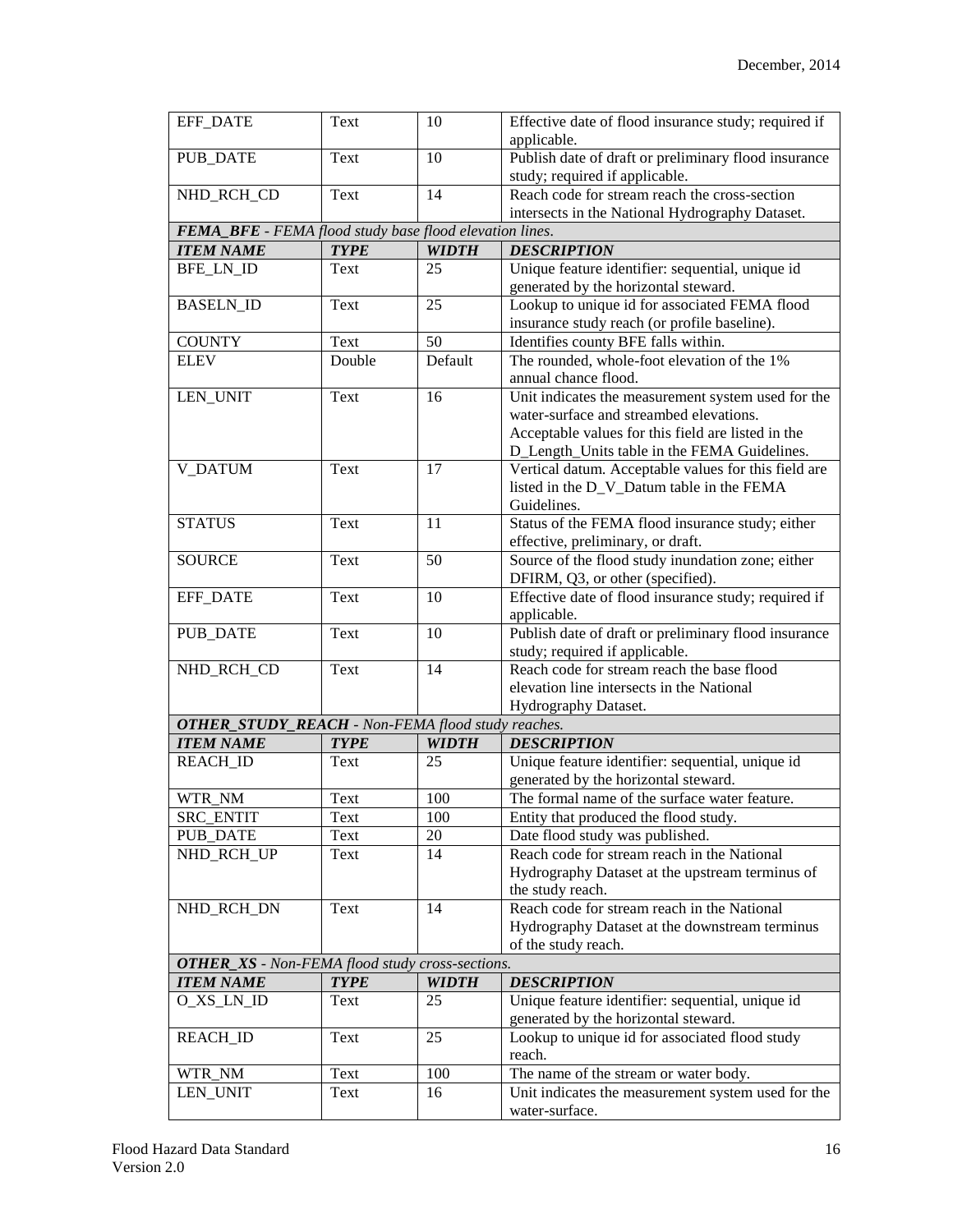| <b>EFF_DATE</b>                                          | Text        | 10           | Effective date of flood insurance study; required if<br>applicable.                      |
|----------------------------------------------------------|-------------|--------------|------------------------------------------------------------------------------------------|
|                                                          |             |              |                                                                                          |
| <b>PUB_DATE</b>                                          | Text        | 10           | Publish date of draft or preliminary flood insurance<br>study; required if applicable.   |
| NHD_RCH_CD                                               | Text        | 14           | Reach code for stream reach the cross-section                                            |
|                                                          |             |              | intersects in the National Hydrography Dataset.                                          |
| FEMA_BFE - FEMA flood study base flood elevation lines.  |             |              |                                                                                          |
|                                                          |             |              |                                                                                          |
| <b>ITEM NAME</b>                                         | <b>TYPE</b> | <b>WIDTH</b> | <b>DESCRIPTION</b>                                                                       |
| <b>BFE_LN_ID</b>                                         | Text        | 25           | Unique feature identifier: sequential, unique id<br>generated by the horizontal steward. |
| <b>BASELN_ID</b>                                         | Text        | 25           | Lookup to unique id for associated FEMA flood                                            |
|                                                          |             |              | insurance study reach (or profile baseline).                                             |
| <b>COUNTY</b>                                            | Text        | 50           | Identifies county BFE falls within.                                                      |
| <b>ELEV</b>                                              | Double      | Default      | The rounded, whole-foot elevation of the 1%                                              |
|                                                          |             |              | annual chance flood.                                                                     |
| LEN_UNIT                                                 | Text        | 16           | Unit indicates the measurement system used for the                                       |
|                                                          |             |              | water-surface and streambed elevations.                                                  |
|                                                          |             |              | Acceptable values for this field are listed in the                                       |
|                                                          |             |              | D_Length_Units table in the FEMA Guidelines.                                             |
| <b>V_DATUM</b>                                           | Text        | 17           | Vertical datum. Acceptable values for this field are                                     |
|                                                          |             |              | listed in the D_V_Datum table in the FEMA                                                |
|                                                          |             |              | Guidelines.                                                                              |
| <b>STATUS</b>                                            | Text        | 11           | Status of the FEMA flood insurance study; either                                         |
|                                                          |             |              | effective, preliminary, or draft.                                                        |
| <b>SOURCE</b>                                            | Text        | 50           | Source of the flood study inundation zone; either                                        |
|                                                          |             |              | DFIRM, Q3, or other (specified).                                                         |
| <b>EFF_DATE</b>                                          | Text        | 10           | Effective date of flood insurance study; required if                                     |
|                                                          |             |              | applicable.                                                                              |
| <b>PUB_DATE</b>                                          | Text        | 10           | Publish date of draft or preliminary flood insurance                                     |
|                                                          |             |              | study; required if applicable.                                                           |
| NHD_RCH_CD                                               | Text        | 14           | Reach code for stream reach the base flood                                               |
|                                                          |             |              | elevation line intersects in the National                                                |
|                                                          |             |              | Hydrography Dataset.                                                                     |
| <b>OTHER_STUDY_REACH</b> - Non-FEMA flood study reaches. |             |              |                                                                                          |
| <b>ITEM NAME</b>                                         | <b>TYPE</b> | <b>WIDTH</b> | <b>DESCRIPTION</b>                                                                       |
| <b>REACH_ID</b>                                          | Text        | 25           | Unique feature identifier: sequential, unique id                                         |
|                                                          |             |              | generated by the horizontal steward.                                                     |
| WTR_NM                                                   | Text        | 100          | The formal name of the surface water feature.                                            |
| <b>SRC ENTIT</b>                                         | Text        | 100          | Entity that produced the flood study.                                                    |
| <b>PUB_DATE</b>                                          | Text        | 20           | Date flood study was published.                                                          |
| NHD_RCH_UP                                               | Text        | 14           | Reach code for stream reach in the National                                              |
|                                                          |             |              | Hydrography Dataset at the upstream terminus of                                          |
|                                                          |             |              | the study reach.                                                                         |
| NHD_RCH_DN                                               | Text        | 14           | Reach code for stream reach in the National                                              |
|                                                          |             |              | Hydrography Dataset at the downstream terminus                                           |
|                                                          |             |              | of the study reach.                                                                      |
| <b>OTHER_XS</b> - Non-FEMA flood study cross-sections.   |             |              |                                                                                          |
| <b>ITEM NAME</b>                                         | <b>TYPE</b> | <b>WIDTH</b> | <b>DESCRIPTION</b>                                                                       |
| O_XS_LN_ID                                               | Text        | 25           | Unique feature identifier: sequential, unique id                                         |
|                                                          |             |              | generated by the horizontal steward.                                                     |
| <b>REACH_ID</b>                                          | Text        | 25           | Lookup to unique id for associated flood study                                           |
|                                                          |             |              | reach.                                                                                   |
| WTR_NM                                                   | Text        | 100          | The name of the stream or water body.                                                    |
| LEN_UNIT                                                 | Text        | 16           | Unit indicates the measurement system used for the                                       |
|                                                          |             |              | water-surface.                                                                           |
|                                                          |             |              |                                                                                          |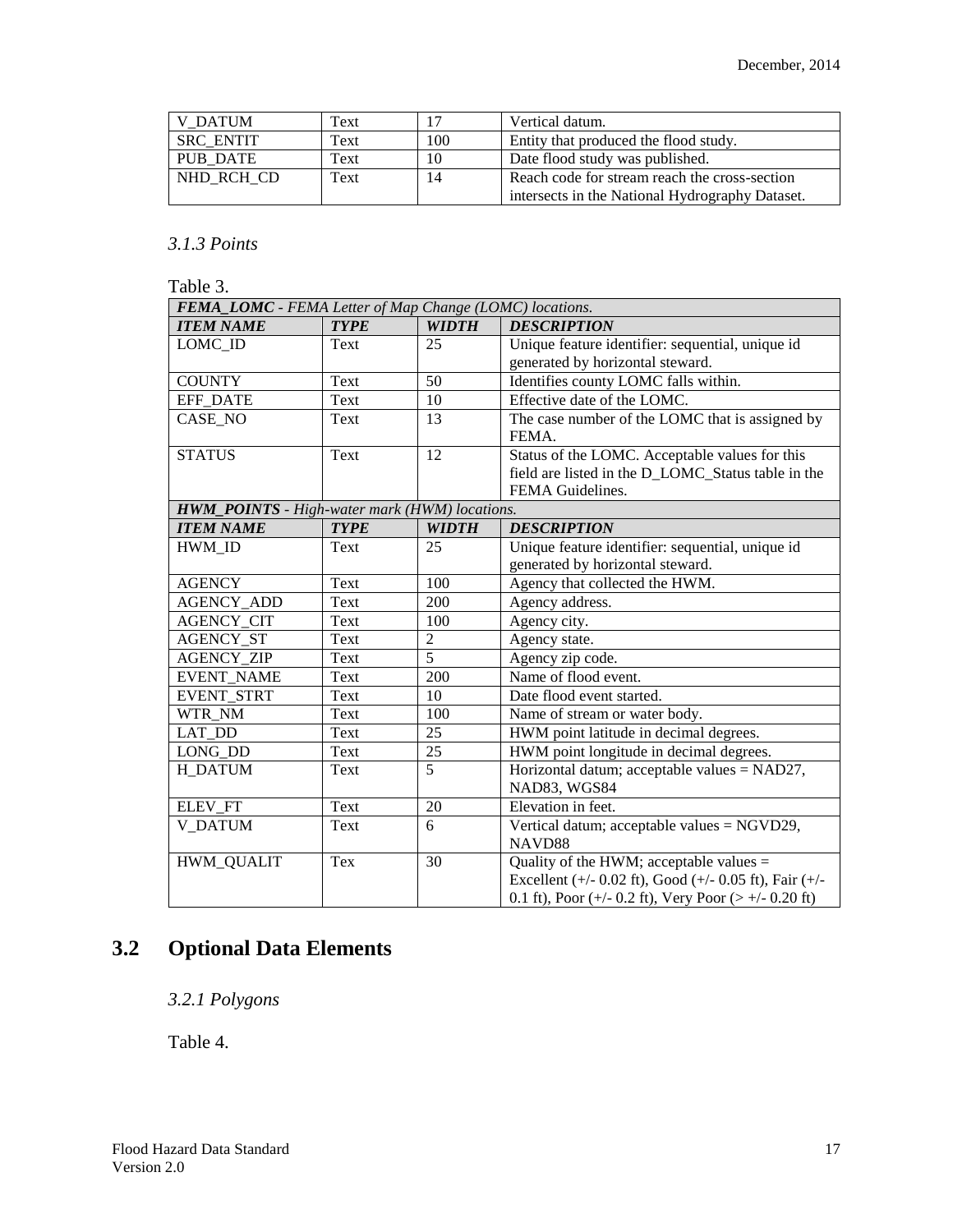| <b>V DATUM</b>   | Text |     | Vertical datum.                                 |
|------------------|------|-----|-------------------------------------------------|
| <b>SRC ENTIT</b> | Text | 100 | Entity that produced the flood study.           |
| PUB DATE         | Text | 10  | Date flood study was published.                 |
| NHD RCH CD       | Text | 14  | Reach code for stream reach the cross-section   |
|                  |      |     | intersects in the National Hydrography Dataset. |

#### *3.1.3 Points*

Table 3.

| FEMA_LOMC - FEMA Letter of Map Change (LOMC) locations. |             |                |                                                        |  |  |
|---------------------------------------------------------|-------------|----------------|--------------------------------------------------------|--|--|
| <b>ITEM NAME</b>                                        | <b>TYPE</b> | <b>WIDTH</b>   | <b>DESCRIPTION</b>                                     |  |  |
| LOMC_ID                                                 | Text        | 25             | Unique feature identifier: sequential, unique id       |  |  |
|                                                         |             |                | generated by horizontal steward.                       |  |  |
| <b>COUNTY</b>                                           | Text        | 50             | Identifies county LOMC falls within.                   |  |  |
| <b>EFF DATE</b>                                         | Text        | 10             | Effective date of the LOMC.                            |  |  |
| CASE_NO                                                 | Text        | 13             | The case number of the LOMC that is assigned by        |  |  |
|                                                         |             |                | FEMA.                                                  |  |  |
| <b>STATUS</b>                                           | Text        | 12             | Status of the LOMC. Acceptable values for this         |  |  |
|                                                         |             |                | field are listed in the D_LOMC_Status table in the     |  |  |
|                                                         |             |                | FEMA Guidelines.                                       |  |  |
| HWM_POINTS - High-water mark (HWM) locations.           |             |                |                                                        |  |  |
| <b>ITEM NAME</b>                                        | <b>TYPE</b> | <b>WIDTH</b>   | <b>DESCRIPTION</b>                                     |  |  |
| HWM ID                                                  | Text        | 25             | Unique feature identifier: sequential, unique id       |  |  |
|                                                         |             |                | generated by horizontal steward.                       |  |  |
| <b>AGENCY</b>                                           | Text        | 100            | Agency that collected the HWM.                         |  |  |
| <b>AGENCY ADD</b>                                       | Text        | 200            | Agency address.                                        |  |  |
| <b>AGENCY_CIT</b>                                       | Text        | 100            | Agency city.                                           |  |  |
| <b>AGENCY ST</b>                                        | Text        | $\overline{2}$ | Agency state.                                          |  |  |
| <b>AGENCY ZIP</b>                                       | Text        | $\overline{5}$ | Agency zip code.                                       |  |  |
| <b>EVENT NAME</b>                                       | Text        | 200            | Name of flood event.                                   |  |  |
| <b>EVENT STRT</b>                                       | Text        | 10             | Date flood event started.                              |  |  |
| WTR NM                                                  | Text        | 100            | Name of stream or water body.                          |  |  |
| <b>LAT DD</b>                                           | Text        | 25             | HWM point latitude in decimal degrees.                 |  |  |
| LONG_DD                                                 | Text        | 25             | HWM point longitude in decimal degrees.                |  |  |
| H DATUM                                                 | Text        | 5              | Horizontal datum; acceptable values = NAD27,           |  |  |
|                                                         |             |                | NAD83, WGS84                                           |  |  |
| ELEV_FT                                                 | Text        | 20             | Elevation in feet.                                     |  |  |
| <b>V DATUM</b>                                          | Text        | 6              | Vertical datum; acceptable values = NGVD29,            |  |  |
|                                                         |             |                | NAVD88                                                 |  |  |
| <b>HWM_QUALIT</b>                                       | Tex         | 30             | Quality of the HWM; acceptable values $=$              |  |  |
|                                                         |             |                | Excellent (+/- 0.02 ft), Good (+/- 0.05 ft), Fair (+/- |  |  |
|                                                         |             |                | 0.1 ft), Poor (+/- 0.2 ft), Very Poor (> +/- 0.20 ft)  |  |  |

# <span id="page-16-1"></span><span id="page-16-0"></span>**3.2 Optional Data Elements**

*3.2.1 Polygons*

Table 4.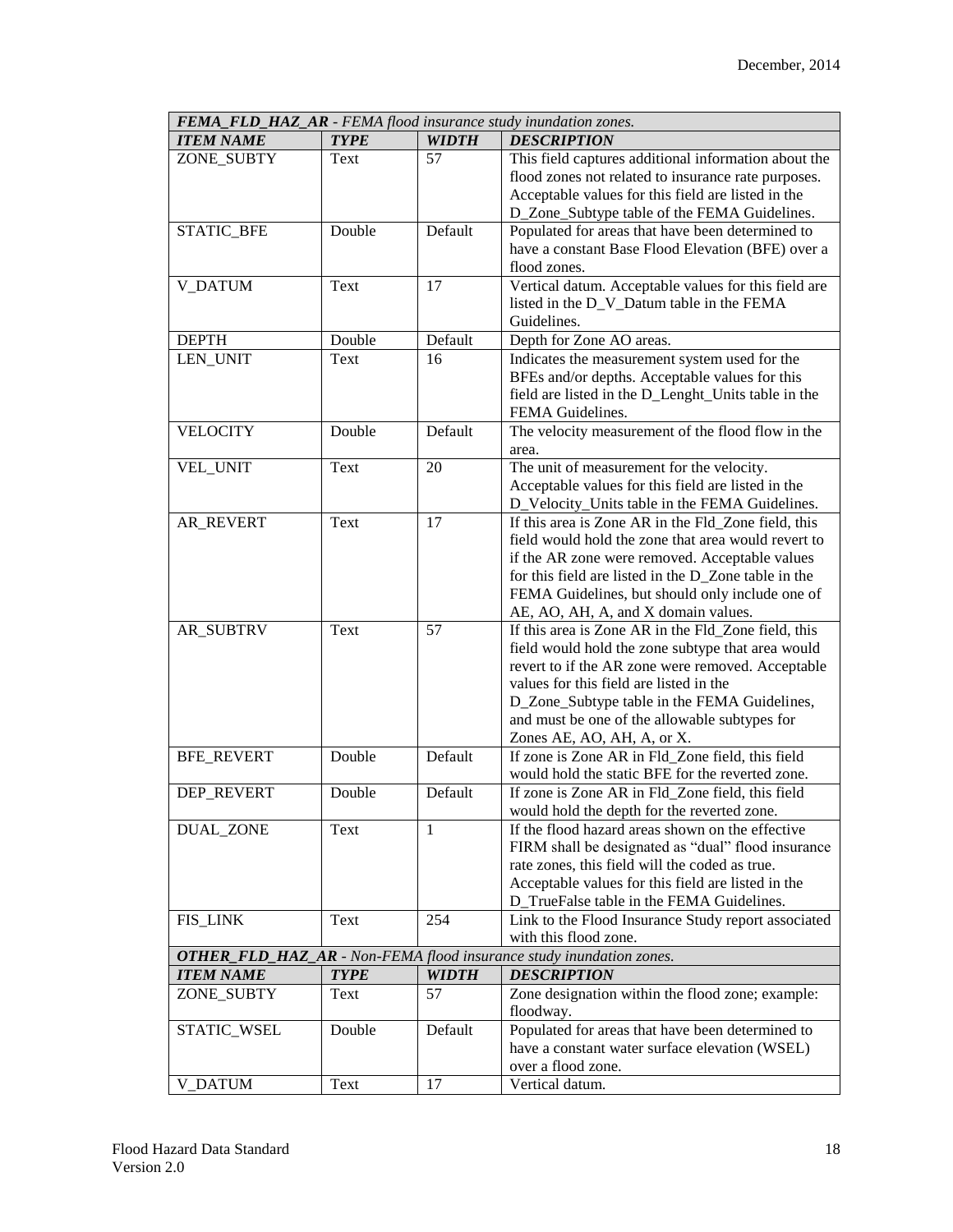| <b>FEMA_FLD_HAZ_AR</b> - FEMA flood insurance study inundation zones. |                                                                            |              |                                                      |  |  |  |  |
|-----------------------------------------------------------------------|----------------------------------------------------------------------------|--------------|------------------------------------------------------|--|--|--|--|
| <b>ITEM NAME</b>                                                      | <b>TYPE</b>                                                                | <b>WIDTH</b> | <b>DESCRIPTION</b>                                   |  |  |  |  |
| ZONE_SUBTY                                                            | Text                                                                       | 57           | This field captures additional information about the |  |  |  |  |
|                                                                       |                                                                            |              | flood zones not related to insurance rate purposes.  |  |  |  |  |
|                                                                       |                                                                            |              | Acceptable values for this field are listed in the   |  |  |  |  |
|                                                                       |                                                                            |              | D_Zone_Subtype table of the FEMA Guidelines.         |  |  |  |  |
| STATIC_BFE                                                            | Double                                                                     | Default      | Populated for areas that have been determined to     |  |  |  |  |
|                                                                       |                                                                            |              | have a constant Base Flood Elevation (BFE) over a    |  |  |  |  |
|                                                                       |                                                                            |              | flood zones.                                         |  |  |  |  |
| <b>V_DATUM</b>                                                        | Text                                                                       | 17           | Vertical datum. Acceptable values for this field are |  |  |  |  |
|                                                                       |                                                                            |              | listed in the D_V_Datum table in the FEMA            |  |  |  |  |
|                                                                       |                                                                            |              | Guidelines.                                          |  |  |  |  |
| <b>DEPTH</b>                                                          | Double                                                                     | Default      | Depth for Zone AO areas.                             |  |  |  |  |
| LEN_UNIT                                                              | Text                                                                       | 16           | Indicates the measurement system used for the        |  |  |  |  |
|                                                                       |                                                                            |              | BFEs and/or depths. Acceptable values for this       |  |  |  |  |
|                                                                       |                                                                            |              | field are listed in the D_Lenght_Units table in the  |  |  |  |  |
|                                                                       |                                                                            |              | FEMA Guidelines.                                     |  |  |  |  |
| <b>VELOCITY</b>                                                       | Double                                                                     | Default      | The velocity measurement of the flood flow in the    |  |  |  |  |
|                                                                       |                                                                            |              | area.                                                |  |  |  |  |
| VEL_UNIT                                                              | Text                                                                       | 20           | The unit of measurement for the velocity.            |  |  |  |  |
|                                                                       |                                                                            |              |                                                      |  |  |  |  |
|                                                                       |                                                                            |              | Acceptable values for this field are listed in the   |  |  |  |  |
|                                                                       |                                                                            |              | D_Velocity_Units table in the FEMA Guidelines.       |  |  |  |  |
| AR REVERT                                                             | Text                                                                       | 17           | If this area is Zone AR in the Fld_Zone field, this  |  |  |  |  |
|                                                                       |                                                                            |              | field would hold the zone that area would revert to  |  |  |  |  |
|                                                                       |                                                                            |              | if the AR zone were removed. Acceptable values       |  |  |  |  |
|                                                                       |                                                                            |              | for this field are listed in the D_Zone table in the |  |  |  |  |
|                                                                       |                                                                            |              | FEMA Guidelines, but should only include one of      |  |  |  |  |
|                                                                       |                                                                            |              | AE, AO, AH, A, and X domain values.                  |  |  |  |  |
| <b>AR_SUBTRV</b>                                                      | Text                                                                       | 57           | If this area is Zone AR in the Fld_Zone field, this  |  |  |  |  |
|                                                                       |                                                                            |              | field would hold the zone subtype that area would    |  |  |  |  |
|                                                                       |                                                                            |              | revert to if the AR zone were removed. Acceptable    |  |  |  |  |
|                                                                       |                                                                            |              | values for this field are listed in the              |  |  |  |  |
|                                                                       |                                                                            |              | D_Zone_Subtype table in the FEMA Guidelines,         |  |  |  |  |
|                                                                       |                                                                            |              | and must be one of the allowable subtypes for        |  |  |  |  |
|                                                                       |                                                                            |              | Zones AE, AO, AH, A, or X.                           |  |  |  |  |
| <b>BFE_REVERT</b>                                                     | Double                                                                     | Default      | If zone is Zone AR in Fld_Zone field, this field     |  |  |  |  |
|                                                                       |                                                                            |              | would hold the static BFE for the reverted zone.     |  |  |  |  |
| <b>DEP REVERT</b>                                                     | Double                                                                     | Default      | If zone is Zone AR in Fld_Zone field, this field     |  |  |  |  |
|                                                                       |                                                                            |              | would hold the depth for the reverted zone.          |  |  |  |  |
| <b>DUAL_ZONE</b>                                                      | Text                                                                       | 1            | If the flood hazard areas shown on the effective     |  |  |  |  |
|                                                                       |                                                                            |              | FIRM shall be designated as "dual" flood insurance   |  |  |  |  |
|                                                                       |                                                                            |              | rate zones, this field will the coded as true.       |  |  |  |  |
|                                                                       |                                                                            |              | Acceptable values for this field are listed in the   |  |  |  |  |
|                                                                       |                                                                            |              | D_TrueFalse table in the FEMA Guidelines.            |  |  |  |  |
| <b>FIS_LINK</b>                                                       | Text                                                                       | 254          | Link to the Flood Insurance Study report associated  |  |  |  |  |
|                                                                       |                                                                            |              | with this flood zone.                                |  |  |  |  |
|                                                                       | <b>OTHER_FLD_HAZ_AR</b> - Non-FEMA flood insurance study inundation zones. |              |                                                      |  |  |  |  |
| <b>ITEM NAME</b>                                                      | <b>TYPE</b>                                                                | <b>WIDTH</b> | <b>DESCRIPTION</b>                                   |  |  |  |  |
| ZONE_SUBTY                                                            | Text                                                                       | 57           | Zone designation within the flood zone; example:     |  |  |  |  |
|                                                                       |                                                                            |              | floodway.                                            |  |  |  |  |
| STATIC_WSEL                                                           | Double                                                                     | Default      | Populated for areas that have been determined to     |  |  |  |  |
|                                                                       |                                                                            |              | have a constant water surface elevation (WSEL)       |  |  |  |  |
|                                                                       |                                                                            |              | over a flood zone.                                   |  |  |  |  |
| <b>V_DATUM</b>                                                        | Text                                                                       | 17           | Vertical datum.                                      |  |  |  |  |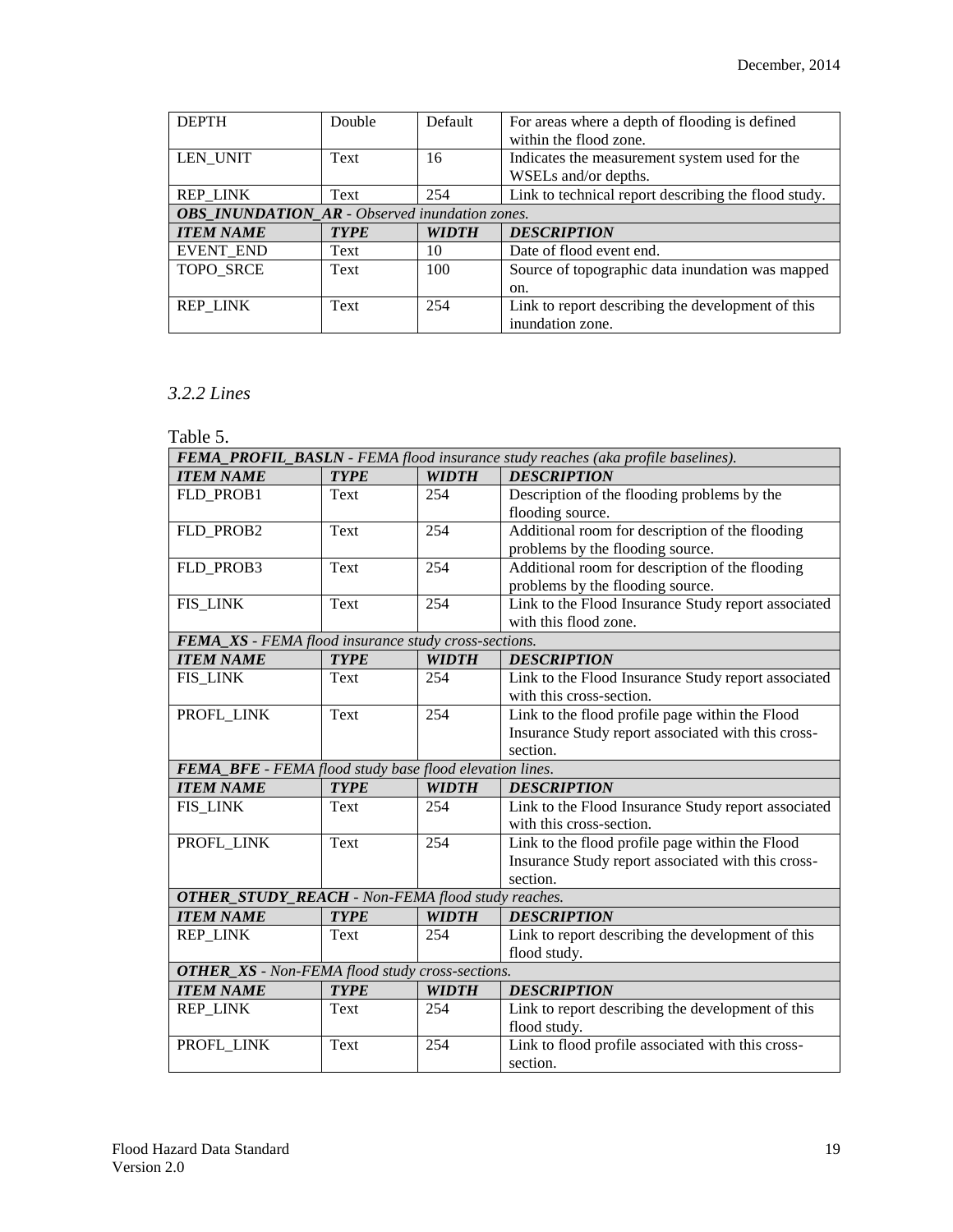| <b>DEPTH</b>                                          | Double      | Default      | For areas where a depth of flooding is defined<br>within the flood zone. |  |  |
|-------------------------------------------------------|-------------|--------------|--------------------------------------------------------------------------|--|--|
| LEN UNIT                                              | Text        | 16           | Indicates the measurement system used for the                            |  |  |
|                                                       |             |              | WSELs and/or depths.                                                     |  |  |
| <b>REP LINK</b>                                       | Text        | 254          | Link to technical report describing the flood study.                     |  |  |
| <b>OBS_INUNDATION_AR</b> - Observed inundation zones. |             |              |                                                                          |  |  |
| <b>ITEM NAME</b>                                      | <b>TYPE</b> | <b>WIDTH</b> | <b>DESCRIPTION</b>                                                       |  |  |
| EVENT_END                                             | Text        | 10           | Date of flood event end.                                                 |  |  |
| <b>TOPO SRCE</b>                                      | Text        | 100          | Source of topographic data inundation was mapped                         |  |  |
|                                                       |             |              | on.                                                                      |  |  |
| <b>REP LINK</b>                                       | Text        | 254          | Link to report describing the development of this                        |  |  |
|                                                       |             |              | inundation zone.                                                         |  |  |

#### <span id="page-18-0"></span>*3.2.2 Lines*

Table 5.

| FEMA_PROFIL_BASLN - FEMA flood insurance study reaches (aka profile baselines). |                                                         |              |                                                     |  |  |  |
|---------------------------------------------------------------------------------|---------------------------------------------------------|--------------|-----------------------------------------------------|--|--|--|
| <b>ITEM NAME</b>                                                                | <b>TYPE</b>                                             | <b>WIDTH</b> | <b>DESCRIPTION</b>                                  |  |  |  |
| FLD PROB1                                                                       | Text                                                    | 254          | Description of the flooding problems by the         |  |  |  |
|                                                                                 |                                                         |              | flooding source.                                    |  |  |  |
| FLD_PROB2                                                                       | Text                                                    | 254          | Additional room for description of the flooding     |  |  |  |
|                                                                                 |                                                         |              | problems by the flooding source.                    |  |  |  |
| FLD_PROB3                                                                       | Text                                                    | 254          | Additional room for description of the flooding     |  |  |  |
|                                                                                 |                                                         |              | problems by the flooding source.                    |  |  |  |
| <b>FIS_LINK</b>                                                                 | Text                                                    | 254          | Link to the Flood Insurance Study report associated |  |  |  |
|                                                                                 |                                                         |              | with this flood zone.                               |  |  |  |
| FEMA_XS - FEMA flood insurance study cross-sections.                            |                                                         |              |                                                     |  |  |  |
| <b>ITEM NAME</b>                                                                | <b>TYPE</b>                                             | <b>WIDTH</b> | <b>DESCRIPTION</b>                                  |  |  |  |
| FIS_LINK                                                                        | Text                                                    | 254          | Link to the Flood Insurance Study report associated |  |  |  |
|                                                                                 |                                                         |              | with this cross-section.                            |  |  |  |
| PROFL_LINK                                                                      | Text                                                    | 254          | Link to the flood profile page within the Flood     |  |  |  |
|                                                                                 |                                                         |              | Insurance Study report associated with this cross-  |  |  |  |
|                                                                                 |                                                         |              | section.                                            |  |  |  |
|                                                                                 | FEMA_BFE - FEMA flood study base flood elevation lines. |              |                                                     |  |  |  |
| <b>ITEM NAME</b>                                                                | <b>TYPE</b>                                             | <b>WIDTH</b> | <b>DESCRIPTION</b>                                  |  |  |  |
| <b>FIS_LINK</b>                                                                 | Text                                                    | 254          | Link to the Flood Insurance Study report associated |  |  |  |
|                                                                                 |                                                         |              | with this cross-section.                            |  |  |  |
| PROFL LINK                                                                      | Text                                                    | 254          | Link to the flood profile page within the Flood     |  |  |  |
|                                                                                 |                                                         |              | Insurance Study report associated with this cross-  |  |  |  |
|                                                                                 |                                                         |              | section.                                            |  |  |  |
| <b>OTHER_STUDY_REACH</b> - Non-FEMA flood study reaches.                        |                                                         |              |                                                     |  |  |  |
| <b>ITEM NAME</b>                                                                | <b>TYPE</b>                                             | <b>WIDTH</b> | <b>DESCRIPTION</b>                                  |  |  |  |
| <b>REP LINK</b>                                                                 | Text                                                    | 254          | Link to report describing the development of this   |  |  |  |
|                                                                                 |                                                         |              | flood study.                                        |  |  |  |
| <b>OTHER_XS</b> - Non-FEMA flood study cross-sections.                          |                                                         |              |                                                     |  |  |  |
| <b>ITEM NAME</b>                                                                | <b>TYPE</b>                                             | <b>WIDTH</b> | <b>DESCRIPTION</b>                                  |  |  |  |
| <b>REP_LINK</b>                                                                 | Text                                                    | 254          | Link to report describing the development of this   |  |  |  |
|                                                                                 |                                                         |              | flood study.                                        |  |  |  |
| PROFL_LINK                                                                      | Text                                                    | 254          | Link to flood profile associated with this cross-   |  |  |  |
|                                                                                 |                                                         |              | section.                                            |  |  |  |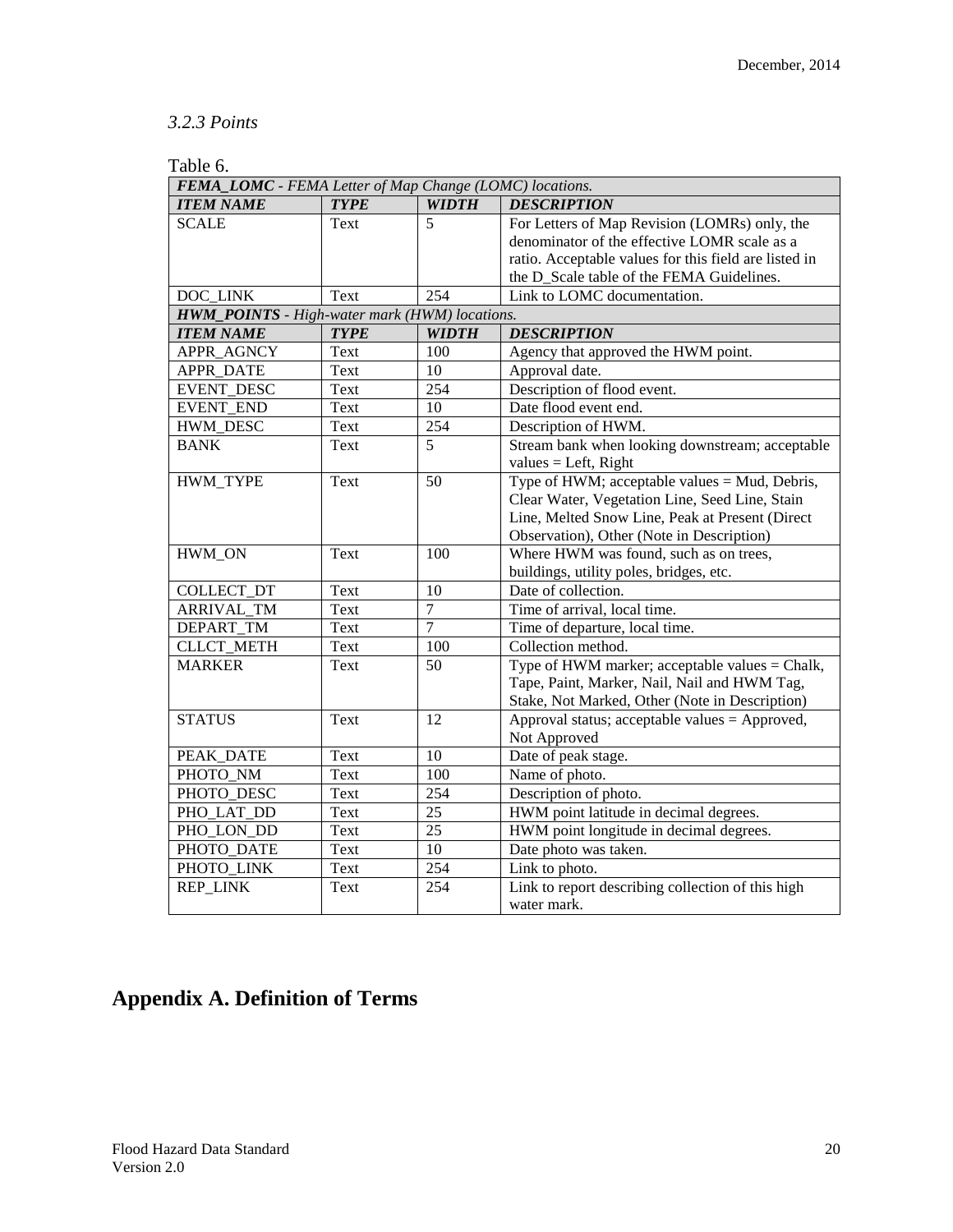#### *3.2.3 Points*

| Table 6.                                             |                                                         |                  |                                                       |  |  |  |
|------------------------------------------------------|---------------------------------------------------------|------------------|-------------------------------------------------------|--|--|--|
|                                                      | FEMA_LOMC - FEMA Letter of Map Change (LOMC) locations. |                  |                                                       |  |  |  |
| <b>ITEM NAME</b>                                     | <b>TYPE</b>                                             | <b>WIDTH</b>     | <b>DESCRIPTION</b>                                    |  |  |  |
| <b>SCALE</b>                                         | Text                                                    | 5                | For Letters of Map Revision (LOMRs) only, the         |  |  |  |
|                                                      |                                                         |                  | denominator of the effective LOMR scale as a          |  |  |  |
|                                                      |                                                         |                  | ratio. Acceptable values for this field are listed in |  |  |  |
|                                                      |                                                         |                  | the D_Scale table of the FEMA Guidelines.             |  |  |  |
| DOC LINK                                             | Text                                                    | 254              | Link to LOMC documentation.                           |  |  |  |
| <b>HWM_POINTS</b> - High-water mark (HWM) locations. |                                                         |                  |                                                       |  |  |  |
| <b>ITEM NAME</b>                                     | <b>TYPE</b>                                             | <b>WIDTH</b>     | <b>DESCRIPTION</b>                                    |  |  |  |
| APPR_AGNCY                                           | Text                                                    | 100              | Agency that approved the HWM point.                   |  |  |  |
| <b>APPR_DATE</b>                                     | Text                                                    | 10               | Approval date.                                        |  |  |  |
| <b>EVENT DESC</b>                                    | Text                                                    | $\overline{254}$ | Description of flood event.                           |  |  |  |
| <b>EVENT_END</b>                                     | Text                                                    | 10               | Date flood event end.                                 |  |  |  |
| <b>HWM DESC</b>                                      | <b>Text</b>                                             | 254              | Description of HWM.                                   |  |  |  |
| <b>BANK</b>                                          | Text                                                    | 5                | Stream bank when looking downstream; acceptable       |  |  |  |
|                                                      |                                                         |                  | values = Left, $Right$                                |  |  |  |
| HWM_TYPE                                             | Text                                                    | 50               | Type of HWM; acceptable values = Mud, Debris,         |  |  |  |
|                                                      |                                                         |                  | Clear Water, Vegetation Line, Seed Line, Stain        |  |  |  |
|                                                      |                                                         |                  | Line, Melted Snow Line, Peak at Present (Direct       |  |  |  |
|                                                      |                                                         |                  | Observation), Other (Note in Description)             |  |  |  |
| HWM ON                                               | Text                                                    | 100              | Where HWM was found, such as on trees,                |  |  |  |
|                                                      |                                                         |                  | buildings, utility poles, bridges, etc.               |  |  |  |
| COLLECT_DT                                           | Text                                                    | 10               | Date of collection.                                   |  |  |  |
| <b>ARRIVAL TM</b>                                    | Text                                                    | $\overline{7}$   | Time of arrival, local time.                          |  |  |  |
| <b>DEPART TM</b>                                     | Text                                                    | $\overline{7}$   | Time of departure, local time.                        |  |  |  |
| <b>CLLCT METH</b>                                    | Text                                                    | 100              | Collection method.                                    |  |  |  |
| <b>MARKER</b>                                        | Text                                                    | 50               | Type of HWM marker; acceptable values = Chalk,        |  |  |  |
|                                                      |                                                         |                  | Tape, Paint, Marker, Nail, Nail and HWM Tag,          |  |  |  |
|                                                      |                                                         |                  | Stake, Not Marked, Other (Note in Description)        |  |  |  |
| <b>STATUS</b>                                        | Text                                                    | $\overline{12}$  | Approval status; acceptable values = Approved,        |  |  |  |
|                                                      |                                                         |                  | Not Approved                                          |  |  |  |
| PEAK_DATE                                            | <b>Text</b>                                             | 10               | Date of peak stage.                                   |  |  |  |
| PHOTO_NM                                             | Text                                                    | 100              | Name of photo.                                        |  |  |  |
| PHOTO_DESC                                           | Text                                                    | 254              | Description of photo.                                 |  |  |  |
| PHO_LAT_DD                                           | Text                                                    | $\overline{25}$  | HWM point latitude in decimal degrees.                |  |  |  |
| PHO LON DD                                           | Text                                                    | $\overline{25}$  | HWM point longitude in decimal degrees.               |  |  |  |
| PHOTO DATE                                           | Text                                                    | $\overline{10}$  | Date photo was taken.                                 |  |  |  |
| PHOTO LINK                                           | Text                                                    | 254              | Link to photo.                                        |  |  |  |
| <b>REP_LINK</b>                                      | Text                                                    | 254              | Link to report describing collection of this high     |  |  |  |
|                                                      |                                                         |                  | water mark.                                           |  |  |  |

# <span id="page-19-0"></span>**Appendix A. Definition of Terms**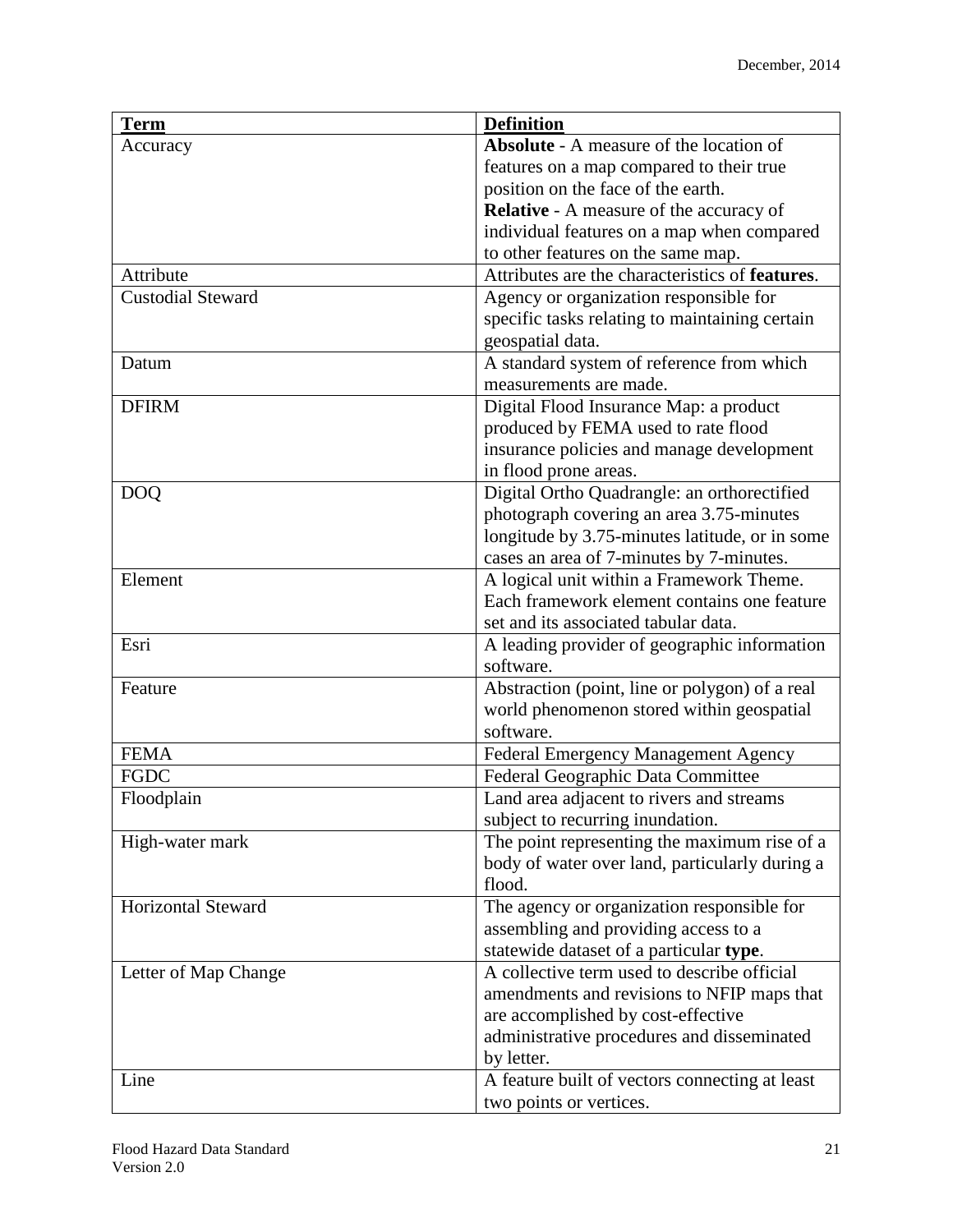| <b>Term</b>               | <b>Definition</b>                               |
|---------------------------|-------------------------------------------------|
| Accuracy                  | <b>Absolute</b> - A measure of the location of  |
|                           | features on a map compared to their true        |
|                           | position on the face of the earth.              |
|                           | Relative - A measure of the accuracy of         |
|                           | individual features on a map when compared      |
|                           | to other features on the same map.              |
| Attribute                 | Attributes are the characteristics of features. |
| <b>Custodial Steward</b>  | Agency or organization responsible for          |
|                           | specific tasks relating to maintaining certain  |
|                           | geospatial data.                                |
| Datum                     | A standard system of reference from which       |
|                           | measurements are made.                          |
| <b>DFIRM</b>              | Digital Flood Insurance Map: a product          |
|                           | produced by FEMA used to rate flood             |
|                           | insurance policies and manage development       |
|                           | in flood prone areas.                           |
| <b>DOQ</b>                | Digital Ortho Quadrangle: an orthorectified     |
|                           | photograph covering an area 3.75-minutes        |
|                           | longitude by 3.75-minutes latitude, or in some  |
|                           | cases an area of 7-minutes by 7-minutes.        |
| Element                   | A logical unit within a Framework Theme.        |
|                           | Each framework element contains one feature     |
|                           | set and its associated tabular data.            |
| Esri                      | A leading provider of geographic information    |
|                           | software.                                       |
| Feature                   | Abstraction (point, line or polygon) of a real  |
|                           | world phenomenon stored within geospatial       |
|                           | software.                                       |
| <b>FEMA</b>               | Federal Emergency Management Agency             |
| <b>FGDC</b>               | Federal Geographic Data Committee               |
| Floodplain                | Land area adjacent to rivers and streams        |
|                           | subject to recurring inundation.                |
| High-water mark           | The point representing the maximum rise of a    |
|                           | body of water over land, particularly during a  |
|                           | flood.                                          |
| <b>Horizontal Steward</b> | The agency or organization responsible for      |
|                           | assembling and providing access to a            |
|                           | statewide dataset of a particular type.         |
| Letter of Map Change      | A collective term used to describe official     |
|                           | amendments and revisions to NFIP maps that      |
|                           | are accomplished by cost-effective              |
|                           | administrative procedures and disseminated      |
|                           | by letter.                                      |
| Line                      | A feature built of vectors connecting at least  |
|                           | two points or vertices.                         |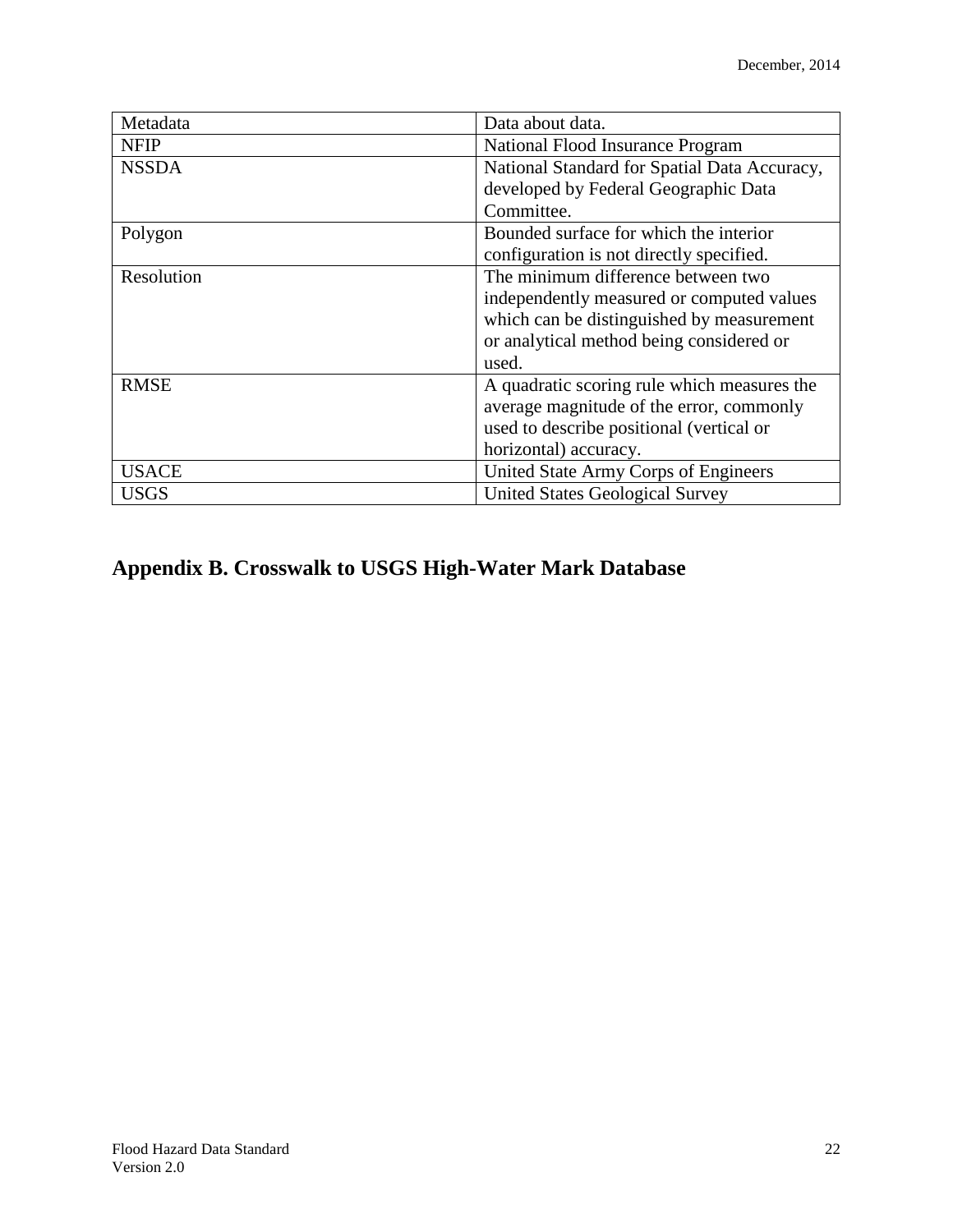| Metadata     | Data about data.                             |
|--------------|----------------------------------------------|
| <b>NFIP</b>  | National Flood Insurance Program             |
| <b>NSSDA</b> | National Standard for Spatial Data Accuracy, |
|              | developed by Federal Geographic Data         |
|              | Committee.                                   |
| Polygon      | Bounded surface for which the interior       |
|              | configuration is not directly specified.     |
| Resolution   | The minimum difference between two           |
|              | independently measured or computed values    |
|              | which can be distinguished by measurement    |
|              | or analytical method being considered or     |
|              | used.                                        |
| <b>RMSE</b>  | A quadratic scoring rule which measures the  |
|              | average magnitude of the error, commonly     |
|              | used to describe positional (vertical or     |
|              | horizontal) accuracy.                        |
| <b>USACE</b> | United State Army Corps of Engineers         |
| <b>USGS</b>  | <b>United States Geological Survey</b>       |

# **Appendix B. Crosswalk to USGS High-Water Mark Database**